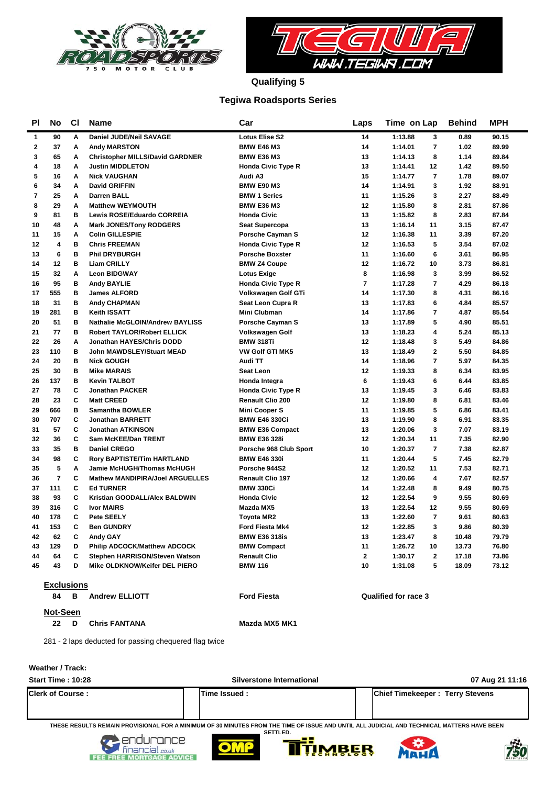



**Qualifying 5**

### **Tegiwa Roadsports Series**

| ΡI           | No                      | <b>CI</b> | <b>Name</b>                            | Car                       | Laps           | Time on Lap                        | <b>Behind</b> | <b>MPH</b> |
|--------------|-------------------------|-----------|----------------------------------------|---------------------------|----------------|------------------------------------|---------------|------------|
| 1            | 90                      | A         | Daniel JUDE/Neil SAVAGE                | <b>Lotus Elise S2</b>     | 14             | 1:13.88<br>3                       | 0.89          | 90.15      |
| $\mathbf{2}$ | 37                      | A         | <b>Andy MARSTON</b>                    | <b>BMW E46 M3</b>         | 14             | $\overline{7}$<br>1:14.01          | 1.02          | 89.99      |
| 3            | 65                      | A         | <b>Christopher MILLS/David GARDNER</b> | <b>BMW E36 M3</b>         | 13             | 1:14.13<br>8                       | 1.14          | 89.84      |
| 4            | 18                      | A         | <b>Justin MIDDLETON</b>                | <b>Honda Civic Type R</b> | 13             | 1:14.41<br>12                      | 1.42          | 89.50      |
| 5            | 16                      | A         | <b>Nick VAUGHAN</b>                    | Audi A3                   | 15             | $\overline{7}$<br>1:14.77          | 1.78          | 89.07      |
| 6            | 34                      | A         | <b>David GRIFFIN</b>                   | <b>BMW E90 M3</b>         | 14             | 3<br>1:14.91                       | 1.92          | 88.91      |
| 7            | 25                      | A         | <b>Darren BALL</b>                     | <b>BMW 1 Series</b>       | 11             | 1:15.26<br>3                       | 2.27          | 88.49      |
| 8            | 29                      | A         | <b>Matthew WEYMOUTH</b>                | <b>BMW E36 M3</b>         | 12             | 8<br>1:15.80                       | 2.81          | 87.86      |
| 9            | 81                      | в         | Lewis ROSE/Eduardo CORREIA             | <b>Honda Civic</b>        | 13             | 8<br>1:15.82                       | 2.83          | 87.84      |
| 10           | 48                      | A         | <b>Mark JONES/Tony RODGERS</b>         | <b>Seat Supercopa</b>     | 13             | 1:16.14<br>11                      | 3.15          | 87.47      |
| 11           | 15                      | A         | <b>Colin GILLESPIE</b>                 | <b>Porsche Cayman S</b>   | 12             | 1:16.38<br>11                      | 3.39          | 87.20      |
| 12           | $\overline{\mathbf{4}}$ | B         | <b>Chris FREEMAN</b>                   | <b>Honda Civic Type R</b> | 12             | 5<br>1:16.53                       | 3.54          | 87.02      |
| 13           | 6                       | в         | <b>Phil DRYBURGH</b>                   | <b>Porsche Boxster</b>    | 11             | 1:16.60<br>6                       | 3.61          | 86.95      |
| 14           | 12                      | B         | <b>Liam CRILLY</b>                     | <b>BMW Z4 Coupe</b>       | 12             | 10<br>1:16.72                      | 3.73          | 86.81      |
| 15           | 32                      | A         | <b>Leon BIDGWAY</b>                    | <b>Lotus Exige</b>        | 8              | 3<br>1:16.98                       | 3.99          | 86.52      |
| 16           | 95                      | B         | <b>Andy BAYLIE</b>                     | <b>Honda Civic Type R</b> | 7              | $\overline{7}$<br>1:17.28          | 4.29          | 86.18      |
| 17           | 555                     | в         | <b>James ALFORD</b>                    | Volkswagen Golf GTi       | 14             | 1:17.30<br>8                       | 4.31          | 86.16      |
| 18           | 31                      | B         | <b>Andy CHAPMAN</b>                    | Seat Leon Cupra R         | 13             | 6<br>1:17.83                       | 4.84          | 85.57      |
| 19           | 281                     | в         | Keith ISSATT                           | <b>Mini Clubman</b>       | 14             | $\overline{7}$<br>1:17.86          | 4.87          | 85.54      |
| 20           | 51                      | B         | <b>Nathalie McGLOIN/Andrew BAYLISS</b> | <b>Porsche Cayman S</b>   | 13             | 5<br>1:17.89                       | 4.90          | 85.51      |
| 21           | 77                      | в         | <b>Robert TAYLOR/Robert ELLICK</b>     | <b>Volkswagen Golf</b>    | 13             | 1:18.23<br>4                       | 5.24          | 85.13      |
| 22           | 26                      | Α         | Jonathan HAYES/Chris DODD              | <b>BMW 318Ti</b>          | 12             | 3<br>1:18.48                       | 5.49          | 84.86      |
| 23           | 110                     | в         | John MAWDSLEY/Stuart MEAD              | <b>VW Golf GTI MK5</b>    | 13             | $\overline{2}$<br>1:18.49          | 5.50          | 84.85      |
| 24           | 20                      | B         | <b>Nick GOUGH</b>                      | Audi TT                   | 14             | $\overline{7}$<br>1:18.96          | 5.97          | 84.35      |
| 25           | 30                      | в         | <b>Mike MARAIS</b>                     | Seat Leon                 | 12             | 1:19.33<br>8                       | 6.34          | 83.95      |
| 26           | 137                     | в         | <b>Kevin TALBOT</b>                    | Honda Integra             | 6              | 6<br>1:19.43                       | 6.44          | 83.85      |
| 27           | 78                      | C         | <b>Jonathan PACKER</b>                 | <b>Honda Civic Type R</b> | 13             | 3<br>1:19.45                       | 6.46          | 83.83      |
| 28           | 23                      | C         | <b>Matt CREED</b>                      | <b>Renault Clio 200</b>   | 12             | 8<br>1:19.80                       | 6.81          | 83.46      |
| 29           | 666                     | в         | <b>Samantha BOWLER</b>                 | <b>Mini Cooper S</b>      | 11             | 5<br>1:19.85                       | 6.86          | 83.41      |
| 30           | 707                     | C         | <b>Jonathan BARRETT</b>                | <b>BMW E46 330Ci</b>      | 13             | 8<br>1:19.90                       | 6.91          | 83.35      |
| 31           | 57                      | C         | <b>Jonathan ATKINSON</b>               | <b>BMW E36 Compact</b>    | 13             | 3<br>1:20.06                       | 7.07          | 83.19      |
| 32           | 36                      | C         | <b>Sam McKEE/Dan TRENT</b>             | <b>BMW E36 328i</b>       | 12             | 11<br>1:20.34                      | 7.35          | 82.90      |
| 33           | 35                      | B         | <b>Daniel CREGO</b>                    | Porsche 968 Club Sport    | 10             | $\overline{7}$<br>1:20.37          | 7.38          | 82.87      |
| 34           | 98                      | C         | <b>Rory BAPTISTE/Tim HARTLAND</b>      | <b>BMW E46 330i</b>       | 11             | 5<br>1:20.44                       | 7.45          | 82.79      |
| 35           | 5                       | A         | Jamie McHUGH/Thomas McHUGH             | Porsche 944S2             | 12             | 1:20.52<br>11                      | 7.53          | 82.71      |
| 36           | $\overline{7}$          | C         | <b>Mathew MANDIPIRA/Joel ARGUELLES</b> | <b>Renault Clio 197</b>   | 12             | $\overline{\mathbf{4}}$<br>1:20.66 | 7.67          | 82.57      |
| 37           | 111                     | C         | <b>Ed TURNER</b>                       | <b>BMW 330Ci</b>          | 14             | 1:22.48<br>8                       | 9.49          | 80.75      |
| 38           | 93                      | C         | Kristian GOODALL/Alex BALDWIN          | <b>Honda Civic</b>        | 12             | 1:22.54<br>9                       | 9.55          | 80.69      |
| 39           | 316                     | C         | <b>Ivor MAIRS</b>                      | Mazda MX5                 | 13             | 1:22.54<br>12                      | 9.55          | 80.69      |
| 40           | 178                     | C         | Pete SEELY                             | <b>Toyota MR2</b>         | 13             | $\overline{7}$<br>1:22.60          | 9.61          | 80.63      |
| 41           | 153                     | C         | <b>Ben GUNDRY</b>                      | Ford Fiesta Mk4           | 12             | 3<br>1:22.85                       | 9.86          | 80.39      |
| 42           | 62                      | C         | <b>Andy GAY</b>                        | <b>BMW E36 318is</b>      | 13             | 8<br>1:23.47                       | 10.48         | 79.79      |
| 43           | 129                     | D         | <b>Philip ADCOCK/Matthew ADCOCK</b>    | <b>BMW Compact</b>        | 11             | 1:26.72<br>10                      | 13.73         | 76.80      |
| 44           | 64                      | C         | Stephen HARRISON/Steven Watson         | <b>Renault Clio</b>       | $\overline{2}$ | $\overline{2}$<br>1:30.17          | 17.18         | 73.86      |
| 45           | 43                      | D         | Mike OLDKNOW/Keifer DEL PIERO          | <b>BMW 116</b>            | 10             | 5<br>1:31.08                       | 18.09         | 73.12      |
|              |                         |           |                                        |                           |                |                                    |               |            |
|              | <b>Exclusions</b>       |           |                                        |                           |                |                                    |               |            |
|              | 84                      | в         | <b>Andrew ELLIOTT</b>                  | <b>Ford Fiesta</b>        |                | <b>Qualified for race 3</b>        |               |            |

**Not-Seen**

22 D Chris FANTANA Mazda MX5 MK1

281 - 2 laps deducted for passing chequered flag twice

**Weather / Track:** 

| <b>Start Time: 10:28</b> | Silverstone International                                                                                                                                      | 07 Aug 21 11:16                        |
|--------------------------|----------------------------------------------------------------------------------------------------------------------------------------------------------------|----------------------------------------|
| <b>Clerk of Course:</b>  | Time Issued:                                                                                                                                                   | <b>Chief Timekeeper: Terry Stevens</b> |
|                          | THESE RESULTS REMAIN PROVISIONAL FOR A MINIMUM OF 30 MINUTES FROM THE TIME OF ISSUE AND UNTIL ALL JUDICIAL AND TECHNICAL MATTERS HAVE BEEN<br><b>SETTI FD.</b> |                                        |









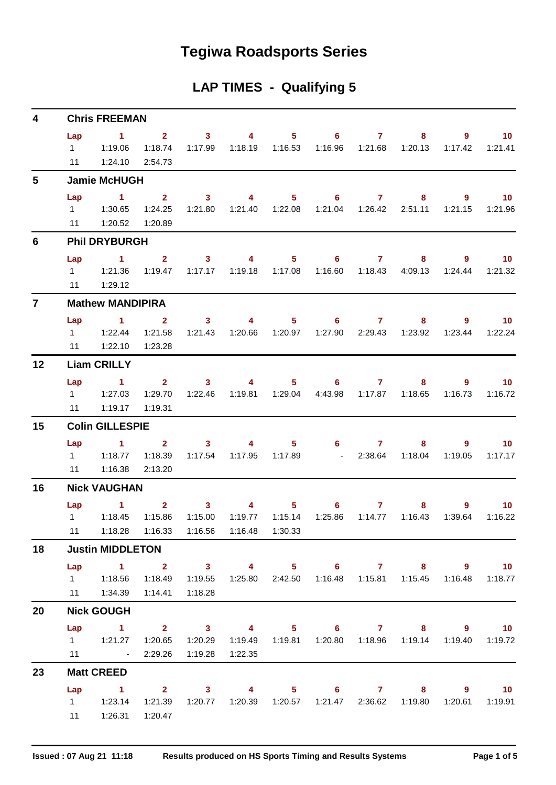## **Tegiwa Roadsports Series**

## **LAP TIMES - Qualifying 5**

| 4            | <b>Chris FREEMAN</b>        |                                                                                                                                                                                                                                                                                                         |                                      |                           |                           |                |                                         |                         |                                                  |                                                                                 |                            |  |  |
|--------------|-----------------------------|---------------------------------------------------------------------------------------------------------------------------------------------------------------------------------------------------------------------------------------------------------------------------------------------------------|--------------------------------------|---------------------------|---------------------------|----------------|-----------------------------------------|-------------------------|--------------------------------------------------|---------------------------------------------------------------------------------|----------------------------|--|--|
|              | Lap<br>$1 \quad \Box$<br>11 | $\sim$ 1<br>1:19.06<br>1:24.10                                                                                                                                                                                                                                                                          | $2^{\circ}$<br>1:18.74<br>2:54.73    | $\sim$ 3<br>1:17.99       | $\overline{4}$<br>1:18.19 | 1:16.53        | $5 \t\t 6$<br>1:16.96                   | $\mathbf{7}$<br>1:21.68 | 8<br>1:20.13                                     | 9<br>1:17.42                                                                    | 10 <sup>°</sup><br>1:21.41 |  |  |
| 5            |                             | <b>Jamie McHUGH</b>                                                                                                                                                                                                                                                                                     |                                      |                           |                           |                |                                         |                         |                                                  |                                                                                 |                            |  |  |
|              | Lap                         | 1<br>11  1:20.52                                                                                                                                                                                                                                                                                        | $\mathbf{2}$<br>1:24.25<br>1:20.89   | 3 <sup>1</sup><br>1:21.80 | $\overline{4}$            | 5 <sub>1</sub> | $6^{\circ}$                             | $\mathbf{7}$            | 8                                                | $9^{\circ}$<br>1:21.15                                                          | 10 <sub>1</sub><br>1:21.96 |  |  |
| 6            |                             | <b>Phil DRYBURGH</b>                                                                                                                                                                                                                                                                                    |                                      |                           |                           |                |                                         |                         |                                                  |                                                                                 |                            |  |  |
|              | Lap<br>11                   | $\sim$ 1.<br>1:29.12                                                                                                                                                                                                                                                                                    | $\mathbf{2}$<br>1:19.47              | $\mathbf{3}$<br>1:17.17   | $\sim$ 4<br>1:19.18       | 1:17.08        | $5 \t\t 6 \t\t 7$<br>1:16.60            |                         | 8<br>1:18.43   4:09.13                           | 9<br>1:24.44                                                                    | $\sim$ 10<br>1:21.32       |  |  |
| $\mathbf{7}$ |                             | <b>Mathew MANDIPIRA</b>                                                                                                                                                                                                                                                                                 |                                      |                           |                           |                |                                         |                         |                                                  |                                                                                 |                            |  |  |
|              | Lap<br>11                   | 1<br>$1 \t 1:22.44$<br>1:22.10                                                                                                                                                                                                                                                                          | $\mathbf{2}$<br>1:21.58<br>1:23.28   | 3 <sup>1</sup><br>1:21.43 | 4                         | $5 -$          | 6                                       | $\mathbf{7}$            | 8<br>1:20.66  1:20.97  1:27.90  2:29.43  1:23.92 | 9<br>1:23.44                                                                    | 10 <sup>°</sup><br>1:22.24 |  |  |
| 12           |                             | <b>Liam CRILLY</b>                                                                                                                                                                                                                                                                                      |                                      |                           |                           |                |                                         |                         |                                                  |                                                                                 |                            |  |  |
|              | Lap<br>$1 \quad \Box$<br>11 | $\sim$ 1<br>1:27.03<br>1:19.17                                                                                                                                                                                                                                                                          | $2^{\circ}$<br>1:29.70<br>1:19.31    | $\sim$ 3<br>1:22.46       | $\sim$ 4                  |                | $5 \t\t 6$<br>1:19.81  1:29.04  4:43.98 | $\mathbf{7}$            | 8                                                | 9<br>1:16.73                                                                    | 10 <sup>°</sup><br>1:16.72 |  |  |
| 15           |                             | <b>Colin GILLESPIE</b>                                                                                                                                                                                                                                                                                  |                                      |                           |                           |                |                                         |                         |                                                  |                                                                                 |                            |  |  |
|              | Lap<br>11                   | 1.<br>1 1:18.77<br>1:16.38                                                                                                                                                                                                                                                                              | 2 <sup>1</sup><br>1:18.39<br>2:13.20 | 3 <sup>1</sup><br>1:17.54 | $\overline{4}$            |                | $5 \t\t 6$                              |                         | $7 \quad \circ$<br>8<br>$-2:38.64$ 1:18.04       | $9^{\circ}$<br>1:19.05                                                          | 10 <sup>°</sup><br>1:17.17 |  |  |
| 16           |                             | <b>Nick VAUGHAN</b>                                                                                                                                                                                                                                                                                     |                                      |                           |                           |                |                                         |                         |                                                  |                                                                                 |                            |  |  |
|              | $1 \quad \Box$              | <b>Lap</b> and the set of the set of the set of the set of the set of the set of the set of the set of the set of the set of the set of the set of the set of the set of the set of the set of the set of the set of the set of the<br>1.<br>1:18.45<br>11  1:18.28  1:16.33  1:16.56  1:16.48  1:30.33 | $\mathbf{2}$<br>1:15.86              | 3 <sup>1</sup><br>1:15.00 | $\overline{4}$<br>1:19.77 | 1:15.14        | $5^{\circ}$<br>6<br>1:25.86             | $\mathbf{7}$<br>1:14.77 | 8<br>1:16.43                                     | 9<br>1:39.64                                                                    | 10 <sup>°</sup><br>1:16.22 |  |  |
| 18           |                             | <b>Justin MIDDLETON</b>                                                                                                                                                                                                                                                                                 |                                      |                           |                           |                |                                         |                         |                                                  |                                                                                 |                            |  |  |
|              |                             | Lap 1 2 3 4 5 6 7 8 9 10<br>1   1:18.56   1:18.49<br>11   1:34.39   1:14.41   1:18.28                                                                                                                                                                                                                   |                                      | 1:19.55                   |                           |                |                                         |                         |                                                  | 1:25.80  2:42.50  1:16.48  1:15.81  1:15.45  1:16.48  1:18.77                   |                            |  |  |
| 20           |                             | <b>Nick GOUGH</b>                                                                                                                                                                                                                                                                                       |                                      |                           |                           |                |                                         |                         |                                                  |                                                                                 |                            |  |  |
|              |                             | Lap 1 2 3 4 5 6 7 8 9 10<br>1    1:21.27    1:20.65    1:20.29    1:19.49    1:19.81    1:20.80    1:18.96    1:19.14    1:19.40    1:19.72<br>$11 \qquad \qquad -$                                                                                                                                     | 2:29.26                              | 1:19.28                   | 1:22.35                   |                |                                         |                         |                                                  |                                                                                 |                            |  |  |
| 23           |                             | <b>Matt CREED</b>                                                                                                                                                                                                                                                                                       |                                      |                           |                           |                |                                         |                         |                                                  |                                                                                 |                            |  |  |
|              |                             | Lap 1 2 3 4 5 6 7 8 9 10<br>$1 \t 1:23.14$<br>11  1:26.31  1:20.47                                                                                                                                                                                                                                      |                                      |                           |                           |                |                                         |                         |                                                  | 1:21.39  1:20.77  1:20.39  1:20.57  1:21.47  2:36.62  1:19.80  1:20.61  1:19.91 |                            |  |  |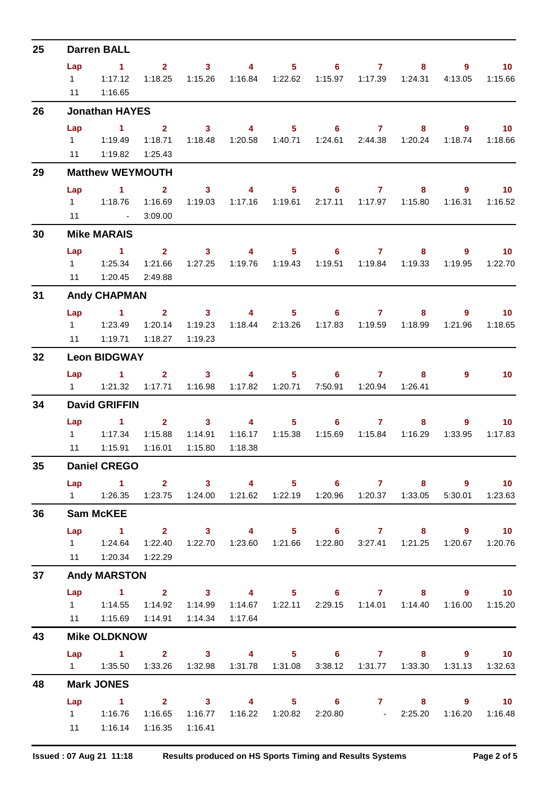| 25 | <b>Darren BALL</b>     |                                                                                           |                                    |                                                                                  |                         |                  |                                             |                           |                           |                |                                       |  |  |
|----|------------------------|-------------------------------------------------------------------------------------------|------------------------------------|----------------------------------------------------------------------------------|-------------------------|------------------|---------------------------------------------|---------------------------|---------------------------|----------------|---------------------------------------|--|--|
|    | Lap                    | $\sim$ 1                                                                                  | $2^{\circ}$                        | $\overline{\mathbf{3}}$                                                          | $\overline{\mathbf{4}}$ |                  | $5 \t\t 6 \t\t 7$                           |                           | 8                         | $9^{\circ}$    | 10 <sup>°</sup>                       |  |  |
|    | $1 \quad \blacksquare$ | 1:17.12                                                                                   | 1:18.25                            | 1:15.26                                                                          |                         | 1:16.84  1:22.62 |                                             |                           | 1:24.31                   | 4:13.05        | 1:15.66                               |  |  |
|    | 11                     | 1:16.65                                                                                   |                                    |                                                                                  |                         |                  |                                             |                           |                           |                |                                       |  |  |
| 26 |                        | <b>Jonathan HAYES</b>                                                                     |                                    |                                                                                  |                         |                  |                                             |                           |                           |                |                                       |  |  |
|    | Lap                    | $\sim$ 1                                                                                  | $\sim$ 2                           | $\overline{\mathbf{3}}$                                                          | $\overline{\mathbf{4}}$ | $5 -$            |                                             | $6 \overline{7}$          | 8                         | $\overline{9}$ | 10                                    |  |  |
|    |                        |                                                                                           | 1:18.71                            | 1:18.48                                                                          |                         |                  |                                             | 1:24.61  2:44.38          | 1:20.24                   | 1:18.74        | 1:18.66                               |  |  |
|    |                        | 11   1:19.82                                                                              | 1:25.43                            |                                                                                  |                         |                  |                                             |                           |                           |                |                                       |  |  |
| 29 |                        | <b>Matthew WEYMOUTH</b>                                                                   |                                    |                                                                                  |                         |                  |                                             |                           |                           |                |                                       |  |  |
|    | Lap                    | $\sim$ 1<br>1 1:18.76                                                                     | $\overline{\mathbf{2}}$<br>1:16.69 | $\overline{\mathbf{3}}$<br>1:19.03                                               | $\sim$ 4 and $\sim$ 4   | 1:17.16  1:19.61 | $5 \t\t 6 \t\t 7$                           | 2:17.11  1:17.97          | 8<br>1:15.80              | 9<br>1:16.31   | $\overline{10}$<br>1:16.52            |  |  |
|    | 11                     | <b>Contract Contract</b>                                                                  | 3:09.00                            |                                                                                  |                         |                  |                                             |                           |                           |                |                                       |  |  |
| 30 |                        | <b>Mike MARAIS</b>                                                                        |                                    |                                                                                  |                         |                  |                                             |                           |                           |                |                                       |  |  |
|    | Lap                    | $\sim$ 1                                                                                  | $\overline{\mathbf{2}}$            | 3 <sub>1</sub>                                                                   | $\overline{4}$          |                  | $5 \t\t 6 \t\t 7$                           |                           | 8                         | 9              | 10 <sub>1</sub>                       |  |  |
|    |                        | $1 \t 1:25.34$                                                                            | 1:21.66                            | 1:27.25                                                                          |                         |                  |                                             |                           | 1:19.51  1:19.84  1:19.33 | 1:19.95        | 1:22.70                               |  |  |
|    |                        | 11  1:20.45                                                                               | 2:49.88                            |                                                                                  |                         |                  |                                             |                           |                           |                |                                       |  |  |
| 31 |                        | <b>Andy CHAPMAN</b>                                                                       |                                    |                                                                                  |                         |                  |                                             |                           |                           |                |                                       |  |  |
|    |                        | Lap 1 2 3                                                                                 |                                    |                                                                                  |                         |                  | 4 5 6 7                                     |                           | 8                         | 9              | $\blacksquare$ 10                     |  |  |
|    |                        |                                                                                           | 1:20.14                            | 1:19.23                                                                          |                         | 1:18.44  2:13.26 | 1:17.83                                     | 1:19.59                   | 1:18.99                   | 1:21.96        | 1:18.65                               |  |  |
|    | 11                     | 1:19.71                                                                                   | 1:18.27                            | 1:19.23                                                                          |                         |                  |                                             |                           |                           |                |                                       |  |  |
| 32 |                        | <b>Leon BIDGWAY</b>                                                                       |                                    |                                                                                  |                         |                  |                                             |                           |                           |                |                                       |  |  |
|    | Lap                    | $\sim$ 1.1                                                                                |                                    | $2 \t 3$                                                                         | $\sim$ 4 and $\sim$     | 5 <sub>1</sub>   | 6                                           | $\overline{7}$            | 8                         | $\overline{9}$ | 10                                    |  |  |
|    |                        |                                                                                           |                                    | 1:17.71  1:16.98                                                                 |                         |                  |                                             | 7:50.91  1:20.94  1:26.41 |                           |                |                                       |  |  |
| 34 |                        | <b>David GRIFFIN</b>                                                                      |                                    |                                                                                  |                         |                  |                                             |                           |                           |                |                                       |  |  |
|    | Lap                    | $\sim$ 1                                                                                  |                                    | $2 \qquad \qquad 3$                                                              | $\overline{\mathbf{4}}$ | 5 <sup>1</sup>   | 6                                           | 7 <sup>7</sup>            | 8                         | $\overline{9}$ | 10 <sup>°</sup>                       |  |  |
|    |                        | 1 1:17.34                                                                                 | 1:15.88                            | 1:14.91                                                                          | 1:16.17                 | 1:15.38          |                                             |                           | 1:15.69  1:15.84  1:16.29 | 1:33.95        | 1:17.83                               |  |  |
|    | 11                     | 1:15.91                                                                                   | 1:16.01                            | 1:15.80                                                                          | 1:18.38                 |                  |                                             |                           |                           |                |                                       |  |  |
| 35 |                        | <b>Daniel CREGO</b>                                                                       |                                    |                                                                                  |                         |                  |                                             |                           |                           |                |                                       |  |  |
|    | Lap                    | 1    1:26.35    1:23.75    1:24.00    1:21.62    1:22.19    1:20.96    1:20.37    1:33.05 | 1 2 3 4 5 6 7 8 9 10               |                                                                                  |                         |                  |                                             |                           |                           |                | 5:30.01 1:23.63                       |  |  |
|    |                        |                                                                                           |                                    |                                                                                  |                         |                  |                                             |                           |                           |                |                                       |  |  |
| 36 |                        | <b>Sam McKEE</b>                                                                          |                                    |                                                                                  |                         |                  |                                             |                           |                           |                |                                       |  |  |
|    | Lap                    | $\sim$ 1                                                                                  |                                    | 2 3 4 5 6 7 8 9<br>1:22.40  1:22.70  1:23.60  1:21.66  1:22.80  3:27.41  1:21.25 |                         |                  |                                             |                           |                           |                | $\blacksquare$ 10<br>1:20.67  1:20.76 |  |  |
|    |                        | 11  1:20.34  1:22.29                                                                      |                                    |                                                                                  |                         |                  |                                             |                           |                           |                |                                       |  |  |
| 37 |                        | <b>Andy MARSTON</b>                                                                       |                                    |                                                                                  |                         |                  |                                             |                           |                           |                |                                       |  |  |
|    |                        | Lap 1 2 3 4 5 6 7 8 9 10                                                                  |                                    |                                                                                  |                         |                  |                                             |                           |                           |                |                                       |  |  |
|    |                        |                                                                                           |                                    | 1:14.92  1:14.99                                                                 |                         |                  | 1:14.67  1:22.11  2:29.15  1:14.01  1:14.40 |                           |                           |                | 1:16.00  1:15.20                      |  |  |
|    |                        | 11   1:15.69   1:14.91                                                                    |                                    | 1:14.34                                                                          | 1:17.64                 |                  |                                             |                           |                           |                |                                       |  |  |
| 43 |                        | <b>Mike OLDKNOW</b>                                                                       |                                    |                                                                                  |                         |                  |                                             |                           |                           |                |                                       |  |  |
|    |                        | Lap 1 2 3 4 5 6 7 8 9 10                                                                  |                                    |                                                                                  |                         |                  |                                             |                           |                           |                |                                       |  |  |
|    |                        | 1   1:35.50   1:33.26   1:32.98   1:31.78   1:31.08                                       |                                    |                                                                                  |                         |                  |                                             |                           | 3:38.12  1:31.77  1:33.30 | 1:31.13        | 1:32.63                               |  |  |
| 48 |                        | <b>Mark JONES</b>                                                                         |                                    |                                                                                  |                         |                  |                                             |                           |                           |                |                                       |  |  |
|    | Lap                    | 1 2 3 4 5 6 7 8 9 10                                                                      |                                    |                                                                                  |                         |                  |                                             |                           |                           |                |                                       |  |  |
|    |                        |                                                                                           |                                    | 1:16.65  1:16.77  1:16.22  1:20.82  2:20.80  - 2:25.20                           |                         |                  |                                             |                           |                           |                | 1:16.20  1:16.48                      |  |  |
|    |                        | 11   1:16.14                                                                              | 1:16.35                            | 1:16.41                                                                          |                         |                  |                                             |                           |                           |                |                                       |  |  |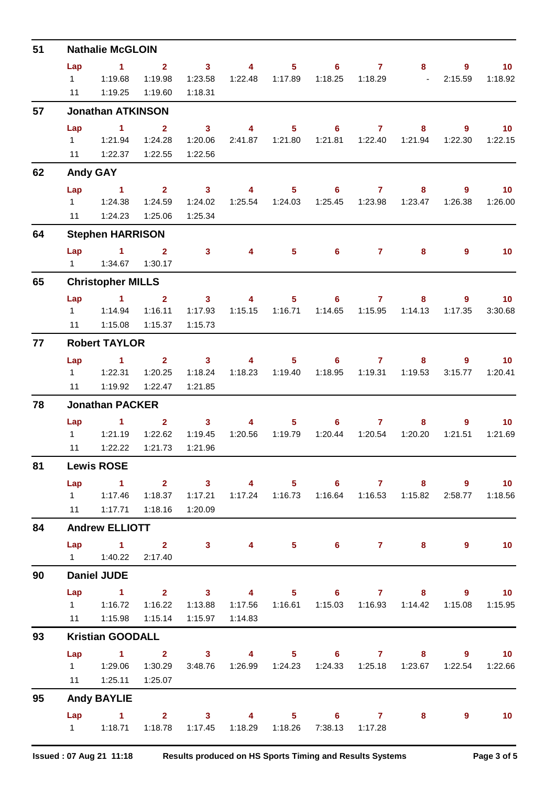| 51 | <b>Nathalie McGLOIN</b> |                                  |                         |                                     |                         |                                   |                                                               |                  |                                   |                |                  |  |  |
|----|-------------------------|----------------------------------|-------------------------|-------------------------------------|-------------------------|-----------------------------------|---------------------------------------------------------------|------------------|-----------------------------------|----------------|------------------|--|--|
|    | Lap                     | $\sim$ 1                         | $\overline{2}$          | $\overline{\mathbf{3}}$             | $\overline{\mathbf{4}}$ | $5 -$                             | $6^{\circ}$                                                   | $\mathbf{7}$     | 8                                 | 9              | 10 <sub>1</sub>  |  |  |
|    | $1 \quad$               | 1:19.68                          | 1:19.98                 | 1:23.58                             | 1:22.48                 | 1:17.89                           | 1:18.25                                                       | 1:18.29          | <b>Contract Contract Contract</b> | 2:15.59        | 1:18.92          |  |  |
|    | 11                      | 1:19.25                          | 1:19.60                 | 1:18.31                             |                         |                                   |                                                               |                  |                                   |                |                  |  |  |
| 57 |                         | <b>Jonathan ATKINSON</b>         |                         |                                     |                         |                                   |                                                               |                  |                                   |                |                  |  |  |
|    | Lap                     | $\blacktriangleleft$             | $\overline{2}$          | $\overline{\mathbf{3}}$             | $\overline{4}$          | 5 <sup>5</sup>                    | $6^{\circ}$                                                   | $\mathbf{7}$     | 8                                 | $\overline{9}$ | 10 <sub>1</sub>  |  |  |
|    |                         |                                  | 1:24.28                 | 1:20.06                             |                         | 2:41.87  1:21.80                  |                                                               | 1:21.81  1:22.40 | 1:21.94                           | 1:22.30        | 1:22.15          |  |  |
|    |                         | 11   1:22.37                     | 1:22.55                 | 1:22.56                             |                         |                                   |                                                               |                  |                                   |                |                  |  |  |
| 62 |                         | <b>Andy GAY</b>                  |                         |                                     |                         |                                   |                                                               |                  |                                   |                |                  |  |  |
|    | Lap                     | $\sim$ 1                         | $\overline{\mathbf{2}}$ | $\sim$ 3                            | $\overline{\mathbf{4}}$ | $5 -$                             | $6\qquad 7$                                                   |                  | 8                                 | 9              | 10 <sub>1</sub>  |  |  |
|    |                         | 1   1:24.38                      | 1:24.59                 | 1:24.02                             |                         | 1:25.54  1:24.03                  | 1:25.45                                                       | 1:23.98          | 1:23.47                           | 1:26.38        | 1:26.00          |  |  |
|    | 11                      | 1:24.23                          | 1:25.06                 | 1:25.34                             |                         |                                   |                                                               |                  |                                   |                |                  |  |  |
| 64 |                         | <b>Stephen HARRISON</b>          |                         |                                     |                         |                                   |                                                               |                  |                                   |                |                  |  |  |
|    | Lap                     | $\sim$ 1                         | $\overline{2}$          | $\mathbf{3}$                        | 4                       | 5 <sup>5</sup>                    | $6\phantom{1}$                                                | $\mathbf{7}$     | 8                                 | 9              | 10 <sub>1</sub>  |  |  |
|    |                         |                                  | 1:30.17                 |                                     |                         |                                   |                                                               |                  |                                   |                |                  |  |  |
| 65 |                         | <b>Christopher MILLS</b>         |                         |                                     |                         |                                   |                                                               |                  |                                   |                |                  |  |  |
|    | Lap                     | $\overline{1}$ $\overline{2}$    |                         | $\overline{\mathbf{3}}$             | $\overline{4}$          | 5 <sub>1</sub>                    | $\overline{\phantom{a}}$ 6                                    | $\overline{7}$   | 8                                 | 9              | 10 <sub>1</sub>  |  |  |
|    | $1 \quad$               | 1:14.94                          | 1:16.11                 | 1:17.93                             |                         |                                   | 1:14.65                                                       | 1:15.95          | 1:14.13                           | 1:17.35        | 3:30.68          |  |  |
|    | 11                      | 1:15.08                          | 1:15.37                 | 1:15.73                             |                         |                                   |                                                               |                  |                                   |                |                  |  |  |
| 77 |                         | <b>Robert TAYLOR</b>             |                         |                                     |                         |                                   |                                                               |                  |                                   |                |                  |  |  |
|    | Lap                     | $\sim$ 1                         | $2^{\circ}$             | $\overline{\mathbf{3}}$             | $\overline{\mathbf{4}}$ | $5 -$                             | $6 -$                                                         | $\mathbf{7}$     | 8                                 | 9              | 10 <sup>°</sup>  |  |  |
|    | $1 \quad$               | 1:22.31                          | 1:20.25                 | 1:18.24                             |                         |                                   | 1:18.95                                                       | 1:19.31          | 1:19.53                           | 3:15.77        | 1:20.41          |  |  |
|    |                         | 11   1:19.92                     | 1:22.47                 | 1:21.85                             |                         |                                   |                                                               |                  |                                   |                |                  |  |  |
| 78 |                         | <b>Jonathan PACKER</b>           |                         |                                     |                         |                                   |                                                               |                  |                                   |                |                  |  |  |
|    | Lap                     | $\overline{1}$ $\overline{2}$    |                         | $\overline{\mathbf{3}}$             | 4                       | 5 <sub>1</sub>                    | $6^{\circ}$                                                   | $\mathbf{7}$     | 8                                 | 9              | 10 <sub>1</sub>  |  |  |
|    | $1 \quad$               | 1:21.19                          | 1:22.62                 | 1:19.45                             |                         | 1:20.56  1:19.79                  | 1:20.44                                                       | 1:20.54          | 1:20.20                           | 1:21.51        | 1:21.69          |  |  |
|    | 11                      | 1:22.22                          | 1:21.73                 | 1:21.96                             |                         |                                   |                                                               |                  |                                   |                |                  |  |  |
| 81 |                         | <b>Lewis ROSE</b>                |                         |                                     |                         |                                   |                                                               |                  |                                   |                |                  |  |  |
|    | Lap                     | $\sim$ $\sim$ 1.                 |                         | $2 \qquad \qquad 3 \qquad \qquad 4$ |                         |                                   | $5 \t\t 6 \t\t 7 \t\t 8$                                      |                  |                                   | $9^{\circ}$    | 10 <sub>1</sub>  |  |  |
|    |                         | 1   1:17.46                      | 1:18.37                 |                                     |                         |                                   | 1:17.21  1:17.24  1:16.73  1:16.64  1:16.53  1:15.82  2:58.77 |                  |                                   |                | 1:18.56          |  |  |
|    |                         | 11   1:17.71                     | 1:18.16                 | 1:20.09                             |                         |                                   |                                                               |                  |                                   |                |                  |  |  |
| 84 |                         | <b>Andrew ELLIOTT</b>            |                         |                                     |                         |                                   |                                                               |                  |                                   |                |                  |  |  |
|    |                         | Lap 1 2 3 4 5 6 7 8<br>1 1:40.22 | 2:17.40                 |                                     |                         |                                   |                                                               |                  |                                   | $9^{\circ}$    | 10               |  |  |
| 90 |                         | <b>Daniel JUDE</b>               |                         |                                     |                         |                                   |                                                               |                  |                                   |                |                  |  |  |
|    | Lap                     | $\sim$ 1                         |                         | $2 \t 3 \t 4$                       |                         |                                   |                                                               |                  |                                   |                | $9$ 10           |  |  |
|    |                         | 1   1:16.72                      |                         |                                     |                         |                                   | $5 \t\t 6 \t\t 7$                                             |                  |                                   | $8 - 1$        | 1:15.08  1:15.95 |  |  |
|    |                         | 11 1:15.98                       | 1:15.14                 | 1:15.97                             | 1:14.83                 |                                   |                                                               |                  |                                   |                |                  |  |  |
| 93 |                         | <b>Kristian GOODALL</b>          |                         |                                     |                         |                                   |                                                               |                  |                                   |                |                  |  |  |
|    | Lap                     | 1 2 3 4 5 6 7 8 9 10             |                         |                                     |                         |                                   |                                                               |                  |                                   |                |                  |  |  |
|    |                         |                                  | 1:30.29                 | 3:48.76                             |                         |                                   | 1:26.99  1:24.23  1:24.33  1:25.18  1:23.67  1:22.54  1:22.66 |                  |                                   |                |                  |  |  |
|    |                         | 11  1:25.11  1:25.07             |                         |                                     |                         |                                   |                                                               |                  |                                   |                |                  |  |  |
|    |                         |                                  |                         |                                     |                         |                                   |                                                               |                  |                                   |                |                  |  |  |
| 95 |                         | <b>Andy BAYLIE</b>               |                         |                                     |                         |                                   |                                                               |                  |                                   |                |                  |  |  |
|    |                         | Lap 1 2 3                        |                         |                                     |                         | $\overline{4}$ and $\overline{4}$ | $5 \t\t 6 \t\t 7$                                             |                  | 8                                 | 9              | 10               |  |  |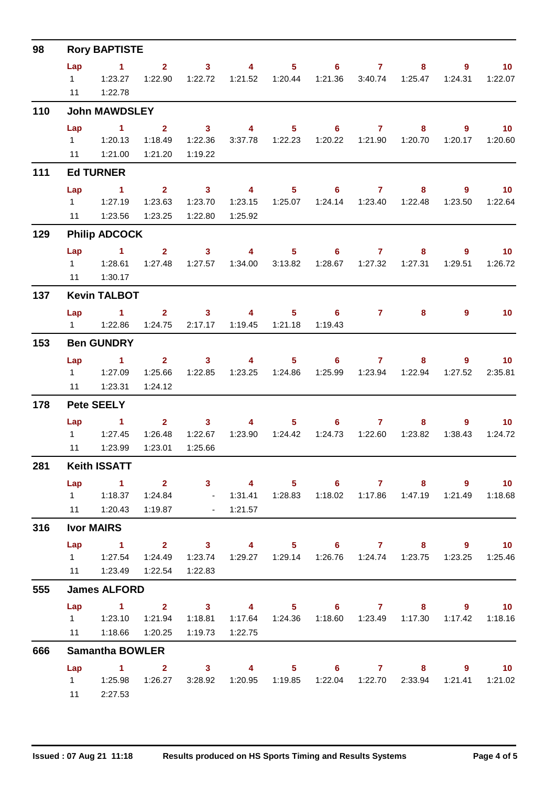| 98  | <b>Rory BAPTISTE</b> |                                                                                                                    |                         |                                                                                                                                                                                                                                                                                                                                                                                                                         |                           |                |                   |                  |                                                                 |                |                 |  |  |
|-----|----------------------|--------------------------------------------------------------------------------------------------------------------|-------------------------|-------------------------------------------------------------------------------------------------------------------------------------------------------------------------------------------------------------------------------------------------------------------------------------------------------------------------------------------------------------------------------------------------------------------------|---------------------------|----------------|-------------------|------------------|-----------------------------------------------------------------|----------------|-----------------|--|--|
|     | Lap                  | $\sim$ $-1$                                                                                                        | $2^{\circ}$             | $\sim$ 3                                                                                                                                                                                                                                                                                                                                                                                                                | $\overline{\mathbf{4}}$   | $5 -$          |                   | $6\qquad 7$      | $8 -$                                                           | $9^{\circ}$    | 10              |  |  |
|     |                      | $1 \quad 1:23.27$                                                                                                  | 1:22.90                 | 1:22.72                                                                                                                                                                                                                                                                                                                                                                                                                 |                           |                |                   | 1:21.36 3:40.74  | 1:25.47                                                         | 1:24.31        | 1:22.07         |  |  |
|     | 11                   | 1:22.78                                                                                                            |                         |                                                                                                                                                                                                                                                                                                                                                                                                                         |                           |                |                   |                  |                                                                 |                |                 |  |  |
| 110 |                      | <b>John MAWDSLEY</b>                                                                                               |                         |                                                                                                                                                                                                                                                                                                                                                                                                                         |                           |                |                   |                  |                                                                 |                |                 |  |  |
|     | Lap                  | $\sim$ 1                                                                                                           | $\overline{2}$          | $\overline{\mathbf{3}}$                                                                                                                                                                                                                                                                                                                                                                                                 | $\overline{\mathbf{4}}$   | 5 <sub>1</sub> |                   | $6 \overline{7}$ | $8 -$                                                           | $9^{\circ}$    | $\overline{10}$ |  |  |
|     |                      | $1 \t 1:20.13$                                                                                                     | 1:18.49                 | 1:22.36                                                                                                                                                                                                                                                                                                                                                                                                                 |                           |                |                   |                  | 1:20.70                                                         | 1:20.17        | 1:20.60         |  |  |
|     |                      | 11  1:21.00                                                                                                        | 1:21.20                 | 1:19.22                                                                                                                                                                                                                                                                                                                                                                                                                 |                           |                |                   |                  |                                                                 |                |                 |  |  |
| 111 |                      | <b>Ed TURNER</b>                                                                                                   |                         |                                                                                                                                                                                                                                                                                                                                                                                                                         |                           |                |                   |                  |                                                                 |                |                 |  |  |
|     | Lap                  | $\sim$ 1                                                                                                           | $2^{\circ}$             | $\overline{\mathbf{3}}$                                                                                                                                                                                                                                                                                                                                                                                                 | $\overline{\mathbf{4}}$   | $5 -$          |                   | $6\qquad 7$      | 8                                                               | $9^{\circ}$    | $\overline{10}$ |  |  |
|     |                      | 1 1:27.19                                                                                                          | 1:23.63                 | 1:23.70                                                                                                                                                                                                                                                                                                                                                                                                                 | 1:23.15                   |                |                   |                  | 1:22.48                                                         | 1:23.50        | 1:22.64         |  |  |
|     | 11                   | 1:23.56                                                                                                            | 1:23.25                 | 1:22.80                                                                                                                                                                                                                                                                                                                                                                                                                 | 1:25.92                   |                |                   |                  |                                                                 |                |                 |  |  |
| 129 |                      | <b>Philip ADCOCK</b>                                                                                               |                         |                                                                                                                                                                                                                                                                                                                                                                                                                         |                           |                |                   |                  |                                                                 |                |                 |  |  |
|     | Lap                  | $\sim$ 1                                                                                                           | $2^{\circ}$             | $\sim$ 3                                                                                                                                                                                                                                                                                                                                                                                                                | $\overline{\mathbf{4}}$   |                | $5 \t\t 6 \t\t 7$ |                  | 8                                                               | $\overline{9}$ | 10 <sup>°</sup> |  |  |
|     |                      | $1 \t 1:28.61$                                                                                                     | 1:27.48                 |                                                                                                                                                                                                                                                                                                                                                                                                                         | 1:27.57  1:34.00  3:13.82 |                |                   |                  | 1:27.31                                                         | 1:29.51        | 1:26.72         |  |  |
|     |                      | 11  1:30.17                                                                                                        |                         |                                                                                                                                                                                                                                                                                                                                                                                                                         |                           |                |                   |                  |                                                                 |                |                 |  |  |
| 137 |                      | <b>Kevin TALBOT</b>                                                                                                |                         |                                                                                                                                                                                                                                                                                                                                                                                                                         |                           |                |                   |                  |                                                                 |                |                 |  |  |
|     | Lap                  | $\sim$ $\sim$ $\sim$ $\sim$ $\sim$ $\sim$                                                                          |                         | $2 \qquad 3 \qquad 4$                                                                                                                                                                                                                                                                                                                                                                                                   |                           |                | $5 \t\t 6$        | $\overline{7}$   | 8                                                               | 9              | 10              |  |  |
|     |                      | $1 \t 1:22.86$                                                                                                     | 1:24.75                 |                                                                                                                                                                                                                                                                                                                                                                                                                         | 2:17.17  1:19.45  1:21.18 |                | 1:19.43           |                  |                                                                 |                |                 |  |  |
| 153 |                      | <b>Ben GUNDRY</b>                                                                                                  |                         |                                                                                                                                                                                                                                                                                                                                                                                                                         |                           |                |                   |                  |                                                                 |                |                 |  |  |
|     | Lap                  | $\sim$ 1                                                                                                           |                         | $\overline{\mathbf{2}}$ and $\overline{\mathbf{2}}$ and $\overline{\mathbf{2}}$ and $\overline{\mathbf{2}}$ and $\overline{\mathbf{2}}$ and $\overline{\mathbf{2}}$ and $\overline{\mathbf{2}}$ and $\overline{\mathbf{2}}$ and $\overline{\mathbf{2}}$ and $\overline{\mathbf{2}}$ and $\overline{\mathbf{2}}$ and $\overline{\mathbf{2}}$ and $\overline{\mathbf{2}}$ and $\overline{\mathbf{2}}$ a<br>3 <sup>7</sup> | $\overline{4}$            |                | $5 \t\t 6 \t\t 7$ |                  | 8                                                               | $9^{\circ}$    | 10              |  |  |
|     |                      |                                                                                                                    | 1:25.66                 | 1:22.85                                                                                                                                                                                                                                                                                                                                                                                                                 |                           |                |                   |                  | 1:22.94                                                         | 1:27.52        | 2:35.81         |  |  |
|     | 11                   | 1:23.31                                                                                                            | 1:24.12                 |                                                                                                                                                                                                                                                                                                                                                                                                                         |                           |                |                   |                  |                                                                 |                |                 |  |  |
| 178 |                      | <b>Pete SEELY</b>                                                                                                  |                         |                                                                                                                                                                                                                                                                                                                                                                                                                         |                           |                |                   |                  |                                                                 |                |                 |  |  |
|     | Lap                  | $\sim$ $\sim$ 1                                                                                                    |                         | $\overline{\mathbf{2}}$ and $\overline{\mathbf{2}}$ and $\overline{\mathbf{2}}$ and $\overline{\mathbf{2}}$ and $\overline{\mathbf{2}}$ and $\overline{\mathbf{2}}$ and $\overline{\mathbf{2}}$ and $\overline{\mathbf{2}}$ and $\overline{\mathbf{2}}$ and $\overline{\mathbf{2}}$ and $\overline{\mathbf{2}}$ and $\overline{\mathbf{2}}$ and $\overline{\mathbf{2}}$ and $\overline{\mathbf{2}}$ a<br>3 <sup>7</sup> | $\overline{4}$            |                | $5^{\circ}$<br>6  | $\overline{7}$   | 8                                                               | $9^{\circ}$    | 10              |  |  |
|     |                      | 1 1:27.45                                                                                                          | 1:26.48                 | 1:22.67                                                                                                                                                                                                                                                                                                                                                                                                                 |                           |                |                   |                  | 1:23.90  1:24.42  1:24.73  1:22.60  1:23.82                     | 1:38.43        | 1:24.72         |  |  |
|     | 11                   | 1:23.99                                                                                                            | 1:23.01                 | 1:25.66                                                                                                                                                                                                                                                                                                                                                                                                                 |                           |                |                   |                  |                                                                 |                |                 |  |  |
| 281 |                      | <b>Keith ISSATT</b>                                                                                                |                         |                                                                                                                                                                                                                                                                                                                                                                                                                         |                           |                |                   |                  |                                                                 |                |                 |  |  |
|     | Lap                  | $\sim$ 1.                                                                                                          | $\overline{\mathbf{2}}$ |                                                                                                                                                                                                                                                                                                                                                                                                                         |                           |                |                   |                  | 3 4 5 6 7 8 9                                                   |                | $\sim$ 10       |  |  |
|     |                      | 1   1:18.37   1:24.84                                                                                              |                         |                                                                                                                                                                                                                                                                                                                                                                                                                         |                           |                |                   |                  | - 1:31.41  1:28.83  1:18.02  1:17.86  1:47.19  1:21.49  1:18.68 |                |                 |  |  |
|     |                      | 11  1:20.43  1:19.87  - 1:21.57                                                                                    |                         |                                                                                                                                                                                                                                                                                                                                                                                                                         |                           |                |                   |                  |                                                                 |                |                 |  |  |
| 316 |                      | <b>Ivor MAIRS</b>                                                                                                  |                         |                                                                                                                                                                                                                                                                                                                                                                                                                         |                           |                |                   |                  |                                                                 |                |                 |  |  |
|     |                      | Lap 1 2 3 4 5 6 7 8 9 10                                                                                           |                         |                                                                                                                                                                                                                                                                                                                                                                                                                         |                           |                |                   |                  |                                                                 |                |                 |  |  |
|     |                      |                                                                                                                    |                         | 1:24.49  1:23.74                                                                                                                                                                                                                                                                                                                                                                                                        |                           |                |                   |                  | 1:29.27  1:29.14  1:26.76  1:24.74  1:23.75  1:23.25  1:25.46   |                |                 |  |  |
|     |                      |                                                                                                                    |                         | 1:22.83                                                                                                                                                                                                                                                                                                                                                                                                                 |                           |                |                   |                  |                                                                 |                |                 |  |  |
| 555 |                      | <b>James ALFORD</b>                                                                                                |                         |                                                                                                                                                                                                                                                                                                                                                                                                                         |                           |                |                   |                  |                                                                 |                |                 |  |  |
|     | Lap                  | 1 2 3 4 5 6 7 8 9 10                                                                                               |                         |                                                                                                                                                                                                                                                                                                                                                                                                                         |                           |                |                   |                  |                                                                 |                |                 |  |  |
|     |                      | 1    1:23.10    1:21.94    1:18.81    1:17.64    1:24.36    1:18.60    1:23.49    1:17.30    1:17.42    1:18.16    |                         |                                                                                                                                                                                                                                                                                                                                                                                                                         |                           |                |                   |                  |                                                                 |                |                 |  |  |
|     |                      | 11  1:18.66  1:20.25                                                                                               |                         | 1:19.73                                                                                                                                                                                                                                                                                                                                                                                                                 | 1:22.75                   |                |                   |                  |                                                                 |                |                 |  |  |
| 666 |                      | <b>Samantha BOWLER</b>                                                                                             |                         |                                                                                                                                                                                                                                                                                                                                                                                                                         |                           |                |                   |                  |                                                                 |                |                 |  |  |
|     |                      | Lap 1 2 3<br>1   1:25.98   1:26.27   3:28.92   1:20.95   1:19.85   1:22.04   1:22.70   2:33.94   1:21.41   1:21.02 |                         |                                                                                                                                                                                                                                                                                                                                                                                                                         |                           |                |                   |                  | 4 5 6 7 8 9 10                                                  |                |                 |  |  |
|     |                      | 11 2:27.53                                                                                                         |                         |                                                                                                                                                                                                                                                                                                                                                                                                                         |                           |                |                   |                  |                                                                 |                |                 |  |  |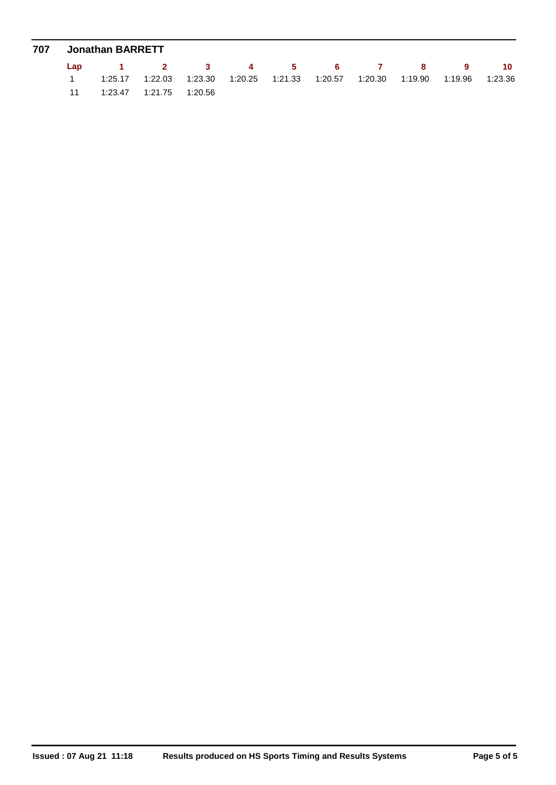| 707 Jonathan BARRETT |                                                                                                     |  |  |  |  |  |  |  |  |  |  |  |
|----------------------|-----------------------------------------------------------------------------------------------------|--|--|--|--|--|--|--|--|--|--|--|
|                      | Lap 1 2 3 4 5 6 7 8 9 10                                                                            |  |  |  |  |  |  |  |  |  |  |  |
|                      | $1.25.17$ $1.22.03$ $1.23.30$ $1.20.25$ $1.21.33$ $1.20.57$ $1.20.30$ $1.19.90$ $1.19.96$ $1.23.36$ |  |  |  |  |  |  |  |  |  |  |  |
|                      | 11 1:23.47 1:21.75 1:20.56                                                                          |  |  |  |  |  |  |  |  |  |  |  |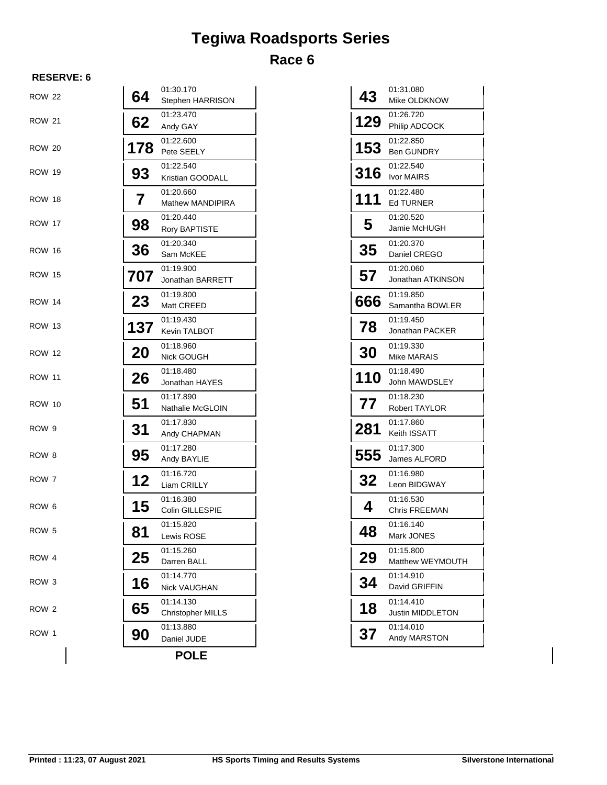## **Tegiwa Roadsports Series Race 6**

### **RESERVE: 6**

| <b>ROW 22</b>    | 64  | 01:30.170<br>Stephen HARRISON         | 43  | 01:31.080<br>Mike OLDKNOW      |
|------------------|-----|---------------------------------------|-----|--------------------------------|
| <b>ROW 21</b>    | 62  | 01:23.470<br>Andy GAY                 | 129 | 01:26.720<br>Philip ADCOCK     |
| <b>ROW 20</b>    | 178 | 01:22.600<br>Pete SEELY               | 153 | 01:22.850<br><b>Ben GUNDRY</b> |
| <b>ROW 19</b>    | 93  | 01:22.540<br>Kristian GOODALL         | 316 | 01:22.540<br>Ivor MAIRS        |
| <b>ROW 18</b>    | 7   | 01:20.660<br><b>Mathew MANDIPIRA</b>  | 111 | 01:22.480<br><b>Ed TURNER</b>  |
| <b>ROW 17</b>    | 98  | 01:20.440<br>Rory BAPTISTE            | 5   | 01:20.520<br>Jamie McHUGH      |
| <b>ROW 16</b>    | 36  | 01:20.340<br>Sam McKEE                | 35  | 01:20.370<br>Daniel CREGO      |
| <b>ROW 15</b>    | 707 | 01:19.900<br>Jonathan BARRETT         | 57  | 01:20.060<br>Jonathan ATKINSON |
| <b>ROW 14</b>    | 23  | 01:19.800<br>Matt CREED               | 666 | 01:19.850<br>Samantha BOWLER   |
| <b>ROW 13</b>    | 137 | 01:19.430<br>Kevin TALBOT             | 78  | 01:19.450<br>Jonathan PACKER   |
| <b>ROW 12</b>    | 20  | 01:18.960<br>Nick GOUGH               | 30  | 01:19.330<br>Mike MARAIS       |
| <b>ROW 11</b>    | 26  | 01:18.480<br>Jonathan HAYES           | 110 | 01:18.490<br>John MAWDSLEY     |
| <b>ROW 10</b>    | 51  | 01:17.890<br>Nathalie McGLOIN         | 77  | 01:18.230<br>Robert TAYLOR     |
| ROW <sub>9</sub> | 31  | 01:17.830<br>Andy CHAPMAN             | 281 | 01:17.860<br>Keith ISSATT      |
| ROW 8            | 95  | 01:17.280<br>Andy BAYLIE              | 555 | 01:17.300<br>James ALFORD      |
| ROW 7            | 12  | 01:16.720<br>Liam CRILLY              | 32  | 01:16.980<br>Leon BIDGWAY      |
| ROW <sub>6</sub> | 15  | 01:16.380<br>Colin GILLESPIE          | 4   | 01:16.530<br>Chris FREEMAN     |
| ROW 5            | 81  | 01:15.820<br>Lewis ROSE               | 48  | 01:16.140<br>Mark JONES        |
| ROW 4            | 25  | 01:15.260<br>Darren BALL              | 29  | 01:15.800<br>Matthew WEYMOUTH  |
| ROW 3            | 16  | 01:14.770<br><b>Nick VAUGHAN</b>      | 34  | 01:14.910<br>David GRIFFIN     |
| ROW <sub>2</sub> | 65  | 01:14.130<br><b>Christopher MILLS</b> | 18  | 01:14.410<br>Justin MIDDLETON  |
| ROW 1            | 90  | 01:13.880<br>Daniel JUDE              | 37  | 01:14.010<br>Andy MARSTON      |
|                  |     | <b>POLE</b>                           |     |                                |

| 43  | 01:31.080<br>Mike OLDKNOW         |
|-----|-----------------------------------|
| 129 | 01:26.720                         |
|     | Philip ADCOCK                     |
| 153 | 01:22.850<br><b>Ben GUNDRY</b>    |
| 316 | 01:22.540<br>Ivor MAIRS           |
|     | 01:22.480                         |
| 111 | Ed TURNER                         |
| 5   | 01:20.520<br>Jamie McHUGH         |
|     | 01:20.370                         |
| 35  | Daniel CREGO                      |
| 57  | 01:20.060                         |
|     | Jonathan ATKINSON                 |
| 666 | 01:19.850<br>Samantha BOWLER      |
|     | 01:19.450                         |
| 78  | Jonathan PACKER                   |
|     | 01:19.330                         |
| 30  | Mike MARAIS                       |
| 110 | 01:18.490<br>John MAWDSLEY        |
| 77  | 01:18.230                         |
|     | Robert TAYLOR                     |
| 281 | 01:17.860<br>Keith ISSATT         |
| 555 | 01:17.300                         |
|     | James ALFORD                      |
| 32  | 01:16.980<br>Leon BIDGWAY         |
| 4   | 01:16.530<br><b>Chris FREEMAN</b> |
| 48  | 01:16.140<br>Mark JONES           |
| 29  | 01:15.800<br>Matthew WEYMOUTH     |
|     | 01:14.910                         |
| 34  | David GRIFFIN                     |
| 18  | 01:14.410                         |
|     | Justin MIDDLETON                  |
| 37  | 01:14.010<br>Andy MARSTON         |

 $\overline{\phantom{a}}$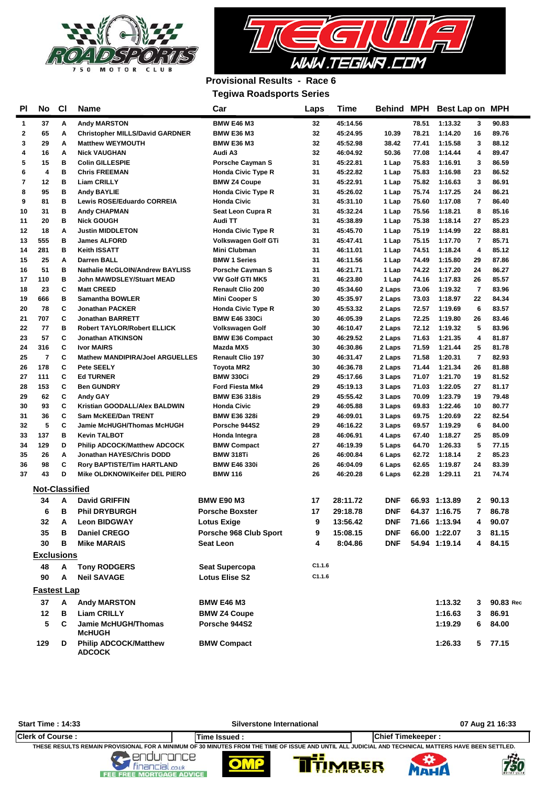



### **Provisional Results - Race 6 Tegiwa Roadsports Series**

|          |                         |        |                                                          | rugiwa noausports ourius             |          |                      |                  |                |                            |                |                |
|----------|-------------------------|--------|----------------------------------------------------------|--------------------------------------|----------|----------------------|------------------|----------------|----------------------------|----------------|----------------|
| ΡI       | No                      | CI     | <b>Name</b>                                              | Car                                  | Laps     | Time                 |                  |                | Behind MPH Best Lap on MPH |                |                |
| 1        | 37                      | Α      | <b>Andy MARSTON</b>                                      | <b>BMW E46 M3</b>                    | 32       | 45:14.56             |                  | 78.51          | 1:13.32                    | 3              | 90.83          |
| 2        | 65                      | Α      | <b>Christopher MILLS/David GARDNER</b>                   | <b>BMW E36 M3</b>                    | 32       | 45:24.95             | 10.39            | 78.21          | 1:14.20                    | 16             | 89.76          |
| 3        | 29                      | Α      | <b>Matthew WEYMOUTH</b>                                  | <b>BMW E36 M3</b>                    | 32       | 45:52.98             | 38.42            | 77.41          | 1:15.58                    | 3              | 88.12          |
| 4        | 16                      | A      | <b>Nick VAUGHAN</b>                                      | Audi A3                              | 32       | 46:04.92             | 50.36            | 77.08          | 1:14.44                    | 4              | 89.47          |
| 5        | 15                      | в      | <b>Colin GILLESPIE</b>                                   | <b>Porsche Cayman S</b>              | 31       | 45:22.81             | 1 Lap            | 75.83          | 1:16.91                    | 3              | 86.59          |
| 6        | $\overline{\mathbf{4}}$ | в      | <b>Chris FREEMAN</b>                                     | <b>Honda Civic Type R</b>            | 31       | 45:22.82             | 1 Lap            | 75.83          | 1:16.98                    | 23             | 86.52          |
| 7        | 12                      | в      | <b>Liam CRILLY</b>                                       | <b>BMW Z4 Coupe</b>                  | 31       | 45:22.91             | 1 Lap            | 75.82          | 1:16.63                    | 3              | 86.91          |
| 8        | 95                      | В      | <b>Andy BAYLIE</b>                                       | <b>Honda Civic Type R</b>            | 31       | 45:26.02             | 1 Lap            | 75.74          | 1:17.25                    | 24             | 86.21          |
| 9        | 81                      | В      | <b>Lewis ROSE/Eduardo CORREIA</b>                        | <b>Honda Civic</b>                   | 31       | 45:31.10             | 1 Lap            | 75.60          | 1:17.08                    | 7              | 86.40          |
| 10       | 31                      | в      | <b>Andy CHAPMAN</b>                                      | Seat Leon Cupra R                    | 31       | 45:32.24             | 1 Lap            | 75.56          | 1:18.21                    | 8              | 85.16          |
| 11       | 20                      | в      | <b>Nick GOUGH</b>                                        | Audi TT                              | 31       | 45:38.89             | 1 Lap            | 75.38          | 1:18.14                    | 27             | 85.23          |
| 12       | 18                      | A      | <b>Justin MIDDLETON</b>                                  | <b>Honda Civic Type R</b>            | 31       | 45:45.70             | 1 Lap            | 75.19          | 1:14.99                    | 22             | 88.81          |
| 13       | 555                     | в      | <b>James ALFORD</b>                                      | Volkswagen Golf GTi                  | 31       | 45:47.41             | 1 Lap            | 75.15          | 1:17.70                    | 7              | 85.71          |
| 14       | 281                     | в      | <b>Keith ISSATT</b>                                      | Mini Clubman                         | 31       | 46:11.01             | 1 Lap            | 74.51          | 1:18.24                    | 4              | 85.12          |
| 15       | 25                      | Α      | <b>Darren BALL</b>                                       | <b>BMW 1 Series</b>                  | 31       | 46:11.56             | 1 Lap            | 74.49          | 1:15.80                    | 29             | 87.86          |
| 16       | 51                      | в      | <b>Nathalie McGLOIN/Andrew BAYLISS</b>                   | <b>Porsche Cayman S</b>              | 31       | 46:21.71             | 1 Lap            | 74.22          | 1:17.20                    | 24             | 86.27          |
| 17       | 110                     | в      | <b>John MAWDSLEY/Stuart MEAD</b>                         | VW Golf GTI MK5                      | 31       | 46:23.80             | 1 Lap            | 74.16          | 1:17.83                    | 26             | 85.57          |
| 18       | 23                      | C      | <b>Matt CREED</b>                                        | <b>Renault Clio 200</b>              | 30       | 45:34.60             | 2 Laps           | 73.06          | 1:19.32                    | 7              | 83.96          |
| 19       | 666                     | в      | <b>Samantha BOWLER</b>                                   | <b>Mini Cooper S</b>                 | 30       | 45:35.97             | 2 Laps           | 73.03          | 1:18.97                    | 22             | 84.34          |
| 20       | 78                      | C      | <b>Jonathan PACKER</b>                                   | Honda Civic Type R                   | 30       | 45:53.32             | 2 Laps           | 72.57          | 1:19.69                    | 6              | 83.57          |
| 21       | 707                     | C      | <b>Jonathan BARRETT</b>                                  | <b>BMW E46 330Ci</b>                 | 30       | 46:05.39             | 2 Laps           | 72.25          | 1:19.80                    | 26             | 83.46          |
| 22       | 77                      | B      | <b>Robert TAYLOR/Robert ELLICK</b>                       | <b>Volkswagen Golf</b>               | 30       | 46:10.47             | 2 Laps           | 72.12          | 1:19.32                    | 5              | 83.96          |
| 23       | 57                      | C      | <b>Jonathan ATKINSON</b>                                 | <b>BMW E36 Compact</b>               | 30       | 46:29.52             | 2 Laps           | 71.63          | 1:21.35                    | 4              | 81.87          |
| 24       | 316                     | C      | <b>Ivor MAIRS</b>                                        | Mazda MX5                            | 30       | 46:30.86             | 2 Laps           | 71.59          | 1:21.44                    | 25             | 81.78          |
| 25       | $\overline{7}$          | C      | <b>Mathew MANDIPIRA/Joel ARGUELLES</b>                   | <b>Renault Clio 197</b>              | 30       | 46:31.47             | 2 Laps           | 71.58          | 1:20.31                    | $\overline{7}$ | 82.93          |
| 26       | 178                     | C      | Pete SEELY                                               | Toyota MR2                           | 30       | 46:36.78             | 2 Laps           | 71.44          | 1:21.34                    | 26             | 81.88          |
| 27       | 111                     | C      | <b>Ed TURNER</b>                                         | <b>BMW 330Ci</b>                     | 29       | 45:17.66             | 3 Laps           | 71.07          | 1:21.70                    | 19             | 81.52          |
| 28       | 153                     | C<br>C | <b>Ben GUNDRY</b>                                        | <b>Ford Fiesta Mk4</b>               | 29       | 45:19.13             | 3 Laps           | 71.03          | 1:22.05                    | 27             | 81.17          |
| 29       | 62                      |        | <b>Andy GAY</b>                                          | <b>BMW E36 318is</b>                 | 29       | 45:55.42             | 3 Laps           | 70.09          | 1:23.79                    | 19             | 79.48          |
| 30<br>31 | 93<br>36                | C<br>C | Kristian GOODALL/Alex BALDWIN                            | <b>Honda Civic</b>                   | 29       | 46:05.88             | 3 Laps           | 69.83          | 1:22.46                    | 10             | 80.77          |
| 32       | 5                       | C      | <b>Sam McKEE/Dan TRENT</b><br>Jamie McHUGH/Thomas McHUGH | <b>BMW E36 328i</b><br>Porsche 944S2 | 29<br>29 | 46:09.01<br>46:16.22 | 3 Laps           | 69.75<br>69.57 | 1:20.69<br>1:19.29         | 22<br>6        | 82.54<br>84.00 |
| 33       | 137                     | в      | <b>Kevin TALBOT</b>                                      |                                      | 28       | 46:06.91             | 3 Laps<br>4 Laps | 67.40          | 1:18.27                    | 25             | 85.09          |
| 34       | 129                     | D      | <b>Philip ADCOCK/Matthew ADCOCK</b>                      | Honda Integra<br><b>BMW Compact</b>  | 27       | 46:19.39             | 5 Laps           | 64.70          | 1:26.33                    | 5              | 77.15          |
| 35       | 26                      | Α      | Jonathan HAYES/Chris DODD                                | <b>BMW 318Ti</b>                     | 26       | 46:00.84             | 6 Laps           | 62.72          | 1:18.14                    | $\overline{2}$ | 85.23          |
| 36       | 98                      | C      | <b>Rory BAPTISTE/Tim HARTLAND</b>                        | <b>BMW E46 330i</b>                  | 26       | 46:04.09             | 6 Laps           | 62.65          | 1:19.87                    | 24             | 83.39          |
| 37       | 43                      | D      | Mike OLDKNOW/Keifer DEL PIERO                            | <b>BMW 116</b>                       | 26       | 46:20.28             | 6 Laps           | 62.28          | 1:29.11                    | 21             | 74.74          |
|          |                         |        |                                                          |                                      |          |                      |                  |                |                            |                |                |
|          | <b>Not-Classified</b>   |        |                                                          |                                      |          |                      |                  |                |                            |                |                |
|          | 34                      | A      | <b>David GRIFFIN</b>                                     | <b>BMW E90 M3</b>                    | 17       | 28:11.72             | DNF              |                | 66.93 1:13.89              | 2              | 90.13          |
|          | 6                       | в      | <b>Phil DRYBURGH</b>                                     | <b>Porsche Boxster</b>               | 17       | 29:18.78             | DNF              |                | 64.37 1:16.75              | 7.             | 86.78          |
|          | 32                      | A      | <b>Leon BIDGWAY</b>                                      | <b>Lotus Exige</b>                   | 9        | 13:56.42             | DNF              |                | 71.66 1:13.94              | 4              | 90.07          |
|          | 35                      | в      | <b>Daniel CREGO</b>                                      | Porsche 968 Club Sport               | 9        | 15:08.15             | DNF              |                | 66.00 1:22.07              | 3              | 81.15          |
|          | 30                      | в      | <b>Mike MARAIS</b>                                       | Seat Leon                            | 4        | 8:04.86              | <b>DNF</b>       |                | 54.94 1:19.14              | 4              | 84.15          |
|          | <u>Exclusions</u>       |        |                                                          |                                      |          |                      |                  |                |                            |                |                |
|          | 48                      | Α      |                                                          |                                      | C1.1.6   |                      |                  |                |                            |                |                |
|          |                         |        | <b>Tony RODGERS</b>                                      | <b>Seat Supercopa</b>                | C1.1.6   |                      |                  |                |                            |                |                |
|          | 90                      | A      | <b>Neil SAVAGE</b>                                       | <b>Lotus Elise S2</b>                |          |                      |                  |                |                            |                |                |
|          | <b>Fastest Lap</b>      |        |                                                          |                                      |          |                      |                  |                |                            |                |                |
|          | 37                      | Α      | <b>Andy MARSTON</b>                                      | <b>BMW E46 M3</b>                    |          |                      |                  |                | 1:13.32                    | 3              | 90.83 Red      |
|          | 12                      | в      | <b>Liam CRILLY</b>                                       | <b>BMW Z4 Coupe</b>                  |          |                      |                  |                | 1:16.63                    | 3              | 86.91          |
|          | 5                       | C      | <b>Jamie McHUGH/Thomas</b><br><b>McHUGH</b>              | Porsche 944S2                        |          |                      |                  |                | 1:19.29                    | 6              | 84.00          |
|          | 129                     | D      | <b>Philip ADCOCK/Matthew</b><br><b>ADCOCK</b>            | <b>BMW Compact</b>                   |          |                      |                  |                | 1:26.33                    | 5              | 77.15          |

**Start Time : 14:33 Silverstone International 07 Aug 21 16:33**

п

99

**VIBER** 

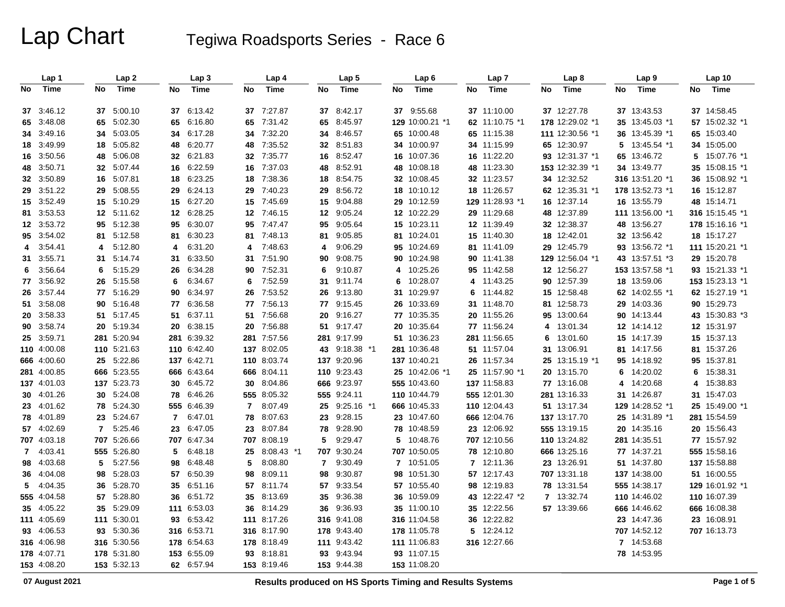|    | Lap 1                    |    | Lap2        |          | Lap 3                  |          | Lap 4              |          | Lap 5                      |    | Lap 6           |    | Lap 7           |    | Lap 8           |    | Lap <sub>9</sub>               |    | Lap 10                      |
|----|--------------------------|----|-------------|----------|------------------------|----------|--------------------|----------|----------------------------|----|-----------------|----|-----------------|----|-----------------|----|--------------------------------|----|-----------------------------|
| No | <b>Time</b>              | No | Time        | No       | <b>Time</b>            | No       | <b>Time</b>        | No       | <b>Time</b>                | No | <b>Time</b>     | No | Time            | No | <b>Time</b>     | No | <b>Time</b>                    | No | Time                        |
|    | 37 3:46.12               |    | 37 5:00.10  | 37       | 6:13.42                | 37       | 7:27.87            | 37       | 8:42.17                    |    | 37 9:55.68      |    | 37 11:10.00     |    | 37 12:27.78     |    | 37 13:43.53                    |    | 37 14:58.45                 |
|    | 65 3:48.08               |    | 65 5:02.30  | 65       | 6:16.80                | 65       | 7:31.42            | 65       | 8:45.97                    |    | 129 10:00.21 *1 |    | 62 11:10.75 *1  |    | 178 12:29.02 *1 |    | 35 13:45.03 *1                 |    | 57 15:02.32 *1              |
|    | 34 3:49.16               |    | 34 5:03.05  | 34       | 6:17.28                | 34       | 7:32.20            | 34       | 8:46.57                    |    | 65 10:00.48     |    | 65 11:15.38     |    | 111 12:30.56 *1 |    | 36 13:45.39 *1                 |    | 65 15:03.40                 |
|    | 18 3:49.99               | 18 | 5:05.82     | 48       | 6:20.77                | 48       | 7:35.52            | 32       | 8:51.83                    |    | 34 10:00.97     |    | 34 11:15.99     |    | 65 12:30.97     | 5  | 13:45.54 *1                    |    | 34 15:05.00                 |
|    | 16 3:50.56               |    | 48 5:06.08  |          | 32 6:21.83             | 32       | 7:35.77            |          | 16 8:52.47                 |    | 16 10:07.36     |    | 16 11:22.20     |    | 93 12:31.37 *1  |    | 65 13:46.72                    |    | 5 15:07.76 *1               |
|    | 48 3:50.71               |    | 32 5:07.44  | 16       | 6:22.59                | 16       | 7:37.03            | 48       | 8:52.91                    |    | 48 10:08.18     |    | 48 11:23.30     |    | 153 12:32.39 *1 |    | 34 13:49.77                    |    | 35 15:08.15 *1              |
|    |                          |    | 16 5:07.81  |          | 6:23.25                |          |                    |          | 8:54.75                    |    | 32 10:08.45     |    | 32 11:23.57     |    | 34 12:32.52     |    |                                |    | 36 15:08.92 *1              |
|    | 32 3:50.89<br>29 3:51.22 |    | 29 5:08.55  | 18<br>29 | 6:24.13                | 18<br>29 | 7:38.36<br>7:40.23 | 18<br>29 |                            |    | 18 10:10.12     |    | 18 11:26.57     |    | 62 12:35.31 *1  |    | 316 13:51.20 *1                |    | 16 15:12.87                 |
|    | 15 3:52.49               |    | 15 5:10.29  |          | 15 6:27.20             |          | 7:45.69            | 15       | 8:56.72<br>9:04.88         |    | 29 10:12.59     |    | 129 11:28.93 *1 |    | 16 12:37.14     |    | 178 13:52.73 *1<br>16 13:55.79 |    | 48 15:14.71                 |
|    | 81 3:53.53               |    | 12 5:11.62  |          | 12 6:28.25             | 15<br>12 | 7:46.15            | 12       | 9:05.24                    |    | 12 10:22.29     |    | 29 11:29.68     |    | 48 12:37.89     |    | 111 13:56.00 *1                |    | 316 15:15.45 *1             |
|    | 12 3:53.72               |    | 95 5:12.38  | 95       | 6:30.07                | 95       | 7:47.47            | 95       | 9:05.64                    |    | 15 10:23.11     |    | 12 11:39.49     |    | 32 12:38.37     |    | 48 13:56.27                    |    | 178 15:16.16 *1             |
|    | 95 3:54.02               |    | 81 5:12.58  |          | 6:30.23                | 81       | 7:48.13            |          | 81 9:05.85                 |    | 81 10:24.01     |    | 15 11:40.30     |    | 18 12:42.01     |    | 32 13:56.42                    |    | 18 15:17.27                 |
| 4  | 3:54.41                  | 4  | 5:12.80     | 81<br>4  | 6:31.20                | 4        | 7:48.63            | 4        | 9:06.29                    |    | 95 10:24.69     |    | 81 11:41.09     |    | 29 12:45.79     |    | 93 13:56.72 *1                 |    | 111 15:20.21 *1             |
|    | 31 3:55.71               |    | 31 5:14.74  | 31       | 6:33.50                | 31       | 7:51.90            | 90       | 9:08.75                    |    | 90 10:24.98     |    | 90 11:41.38     |    | 129 12:56.04 *1 |    | 43 13:57.51 *3                 |    | 29 15:20.78                 |
| 6  | 3:56.64                  | 6  | 5:15.29     | 26       | 6:34.28                | 90       | 7:52.31            | 6        | 9:10.87                    |    | 4 10:25.26      |    | 95 11:42.58     |    | 12 12:56.27     |    | 153 13:57.58 *1                |    | 93 15:21.33 *1              |
|    | 77 3:56.92               |    | 26 5:15.58  | 6        | 6:34.67                | 6        | 7:52.59            | 31       | 9:11.74                    | 6  | 10:28.07        |    | 4 11:43.25      |    | 90 12:57.39     |    | 18 13:59.06                    |    | 153 15:23.13 *1             |
|    | 26 3:57.44               |    | 77 5:16.29  | 90       | 6:34.97                | 26       | 7:53.52            | 26       | 9:13.80                    |    | 31 10:29.97     | 6  | 11:44.82        |    | 15 12:58.48     |    | 62 14:02.55 *1                 |    | 62 15:27.19 *1              |
|    | 51 3:58.08               |    | 90 5:16.48  |          | 77 6:36.58             | 77       | 7:56.13            |          | 77 9:15.45                 |    | 26 10:33.69     |    | 31 11:48.70     |    | 81 12:58.73     |    | 29 14:03.36                    |    | 90 15:29.73                 |
|    | 20 3:58.33               |    | 51 5:17.45  | 51       | 6:37.11                | 51       | 7:56.68            | 20       | 9:16.27                    |    | 77 10:35.35     |    | 20 11:55.26     |    | 95 13:00.64     |    | 90 14:13.44                    |    | 43 15:30.83 *3              |
|    | 90 3:58.74               |    | 20 5:19.34  | 20       | 6:38.15                | 20       | 7:56.88            |          | 51 9:17.47                 |    | 20 10:35.64     |    | 77 11:56.24     | 4  | 13:01.34        |    | 12 14:14.12                    |    | 12 15:31.97                 |
|    | 25 3:59.71               |    | 281 5:20.94 |          | 281 6:39.32            | 281      | 7:57.56            |          | 281 9:17.99                |    | 51 10:36.23     |    | 281 11:56.65    | 6  | 13:01.60        |    | 15 14:17.39                    |    | 15 15:37.13                 |
|    | 110 4:00.08              |    | 110 5:21.63 |          | 110 6:42.40            |          | 137 8:02.05        |          | 43 9:18.38 *1              |    | 281 10:36.48    |    | 51 11:57.04     |    | 31 13:06.91     |    | 81 14:17.56                    |    | 81 15:37.26                 |
|    | 666 4:00.60              |    | 25 5:22.86  |          | 137 6:42.71            |          | 110 8:03.74        |          | 137 9:20.96                |    | 137 10:40.21    |    | 26 11:57.34     |    | 25 13:15.19 *1  |    | 95 14:18.92                    |    | 95 15:37.81                 |
|    | 281 4:00.85              |    | 666 5:23.55 |          | 666 6:43.64            |          | 666 8:04.11        |          | 110 9:23.43                |    | 25 10:42.06 *1  |    | 25 11:57.90 *1  |    | 20 13:15.70     | 6  | 14:20.02                       |    | 6 15:38.31                  |
|    | 137 4:01.03              |    | 137 5:23.73 | 30       | 6:45.72                | 30       | 8:04.86            |          | 666 9:23.97                |    | 555 10:43.60    |    | 137 11:58.83    |    | 77 13:16.08     | 4  | 14:20.68                       |    | 4 15:38.83                  |
|    | 30 4:01.26               |    | 30 5:24.08  | 78       | 6:46.26                |          | 555 8:05.32        |          | 555 9:24.11                |    | 110 10:44.79    |    | 555 12:01.30    |    | 281 13:16.33    |    | 31 14:26.87                    |    | 31 15:47.03                 |
|    | 23 4:01.62               |    | 78 5:24.30  |          | 555 6:46.39            | 7        | 8:07.49            |          | 25 9:25.16 *1              |    | 666 10:45.33    |    | 110 12:04.43    |    | 51 13:17.34     |    | 129 14:28.52 *1                |    | 25 15:49.00 *1              |
|    | 78 4:01.89               |    | 23 5:24.67  | 7        | 6:47.01                | 78       | 8:07.63            |          | 23 9:28.15                 |    | 23 10:47.60     |    | 666 12:04.76    |    | 137 13:17.70    |    | 25 14:31.89 *1                 |    | 281 15:54.59                |
|    | 57 4:02.69               |    | 7 5:25.46   | 23       | 6:47.05                | 23       | 8:07.84            |          | 78 9:28.90                 |    | 78 10:48.59     |    | 23 12:06.92     |    | 555 13:19.15    |    | 20 14:35.16                    |    | 20 15:56.43                 |
|    | 707 4:03.18              |    | 707 5:26.66 |          | 707 6:47.34            | 707      | 8:08.19            | 5        | 9:29.47                    |    | 5 10:48.76      |    | 707 12:10.56    |    | 110 13:24.82    |    | 281 14:35.51                   |    | 77 15:57.92                 |
|    | 7 4:03.41                |    | 555 5:26.80 | 5        | 6:48.18                | 25       | $8:08.43$ *1       |          | 707 9:30.24                |    | 707 10:50.05    |    | 78 12:10.80     |    | 666 13:25.16    |    | 77 14:37.21                    |    | 555 15:58.16                |
|    | 98 4:03.68               |    | 5 5:27.56   | 98       | 6:48.48                | 5        | 8:08.80            |          | 7 9:30.49                  |    | 7 10:51.05      |    | 7 12:11.36      |    | 23 13:26.91     |    | 51 14:37.80                    |    | 137 15:58.88                |
|    | 36 4:04.08               | 98 | 5:28.03     | 57       | 6:50.39                | 98       | 8:09.11            | 98       | 9:30.87                    |    | 98 10:51.30     |    | 57 12:17.43     |    | 707 13:31.18    |    | 137 14:38.00                   |    | 51 16:00.55                 |
| 5  | 4:04.35                  | 36 | 5:28.70     | 35       | 6:51.16                | 57       | 8:11.74            | 57       | 9:33.54                    |    | 57 10:55.40     |    | 98 12:19.83     |    | 78 13:31.54     |    | 555 14:38.17                   |    | 129 16:01.92 *1             |
|    | 555 4:04.58              |    | 57 5:28.80  | 36       | 6:51.72                | 35       | 8:13.69            |          | 35 9:36.38                 |    | 36 10:59.09     |    | 43 12:22.47 *2  |    | 7 13:32.74      |    | 110 14:46.02                   |    | 110 16:07.39                |
|    | 35 4:05.22               |    | 35 5:29.09  |          | 111 6:53.03            | 36       | 8:14.29            |          | 36 9:36.93                 |    | 35 11:00.10     |    | 35 12:22.56     |    | 57 13:39.66     |    | 666 14:46.62                   |    | 666 16:08.38                |
|    | 111 4:05.69              |    | 111 5:30.01 |          |                        |          | 8:17.26            |          |                            |    | 316 11:04.58    |    | 36 12:22.82     |    |                 |    |                                |    |                             |
|    | 93 4:06.53               |    | 93 5:30.36  | 93       | 6:53.42<br>316 6:53.71 | 111      | 316 8:17.90        |          | 316 9:41.08<br>178 9:43.40 |    | 178 11:05.78    |    | 5 12:24.12      |    |                 |    | 23 14:47.36<br>707 14:52.12    |    | 23 16:08.91<br>707 16:13.73 |
|    |                          |    |             |          |                        |          |                    |          |                            |    |                 |    |                 |    |                 |    |                                |    |                             |
|    | 316 4:06.98              |    | 316 5:30.56 |          | 178 6:54.63            |          | 178 8:18.49        |          | 111 9:43.42                |    | 111 11:06.83    |    | 316 12:27.66    |    |                 |    | 7 14:53.68                     |    |                             |
|    | 178 4:07.71              |    | 178 5:31.80 | 153      | 6:55.09                | 93       | 8:18.81            |          | 93 9:43.94                 |    | 93 11:07.15     |    |                 |    |                 |    | 78 14:53.95                    |    |                             |
|    | 153 4:08.20              |    | 153 5:32.13 |          | 62 6:57.94             |          | 153 8:19.46        |          | 153 9:44.38                |    | 153 11:08.20    |    |                 |    |                 |    |                                |    |                             |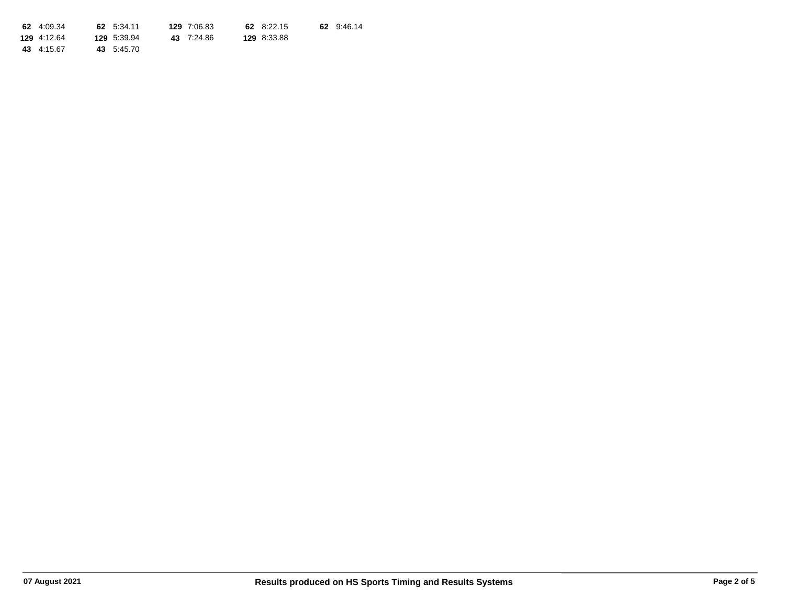| 62 4:09.34  | 62 5:34.11  | 129 7:06.83 | 62 8:22.15  | 62 9:46.14 |
|-------------|-------------|-------------|-------------|------------|
| 129 4:12.64 | 129 5:39.94 | 43 7:24.86  | 129 8:33.88 |            |
| 43 4:15.67  | 43 5:45.70  |             |             |            |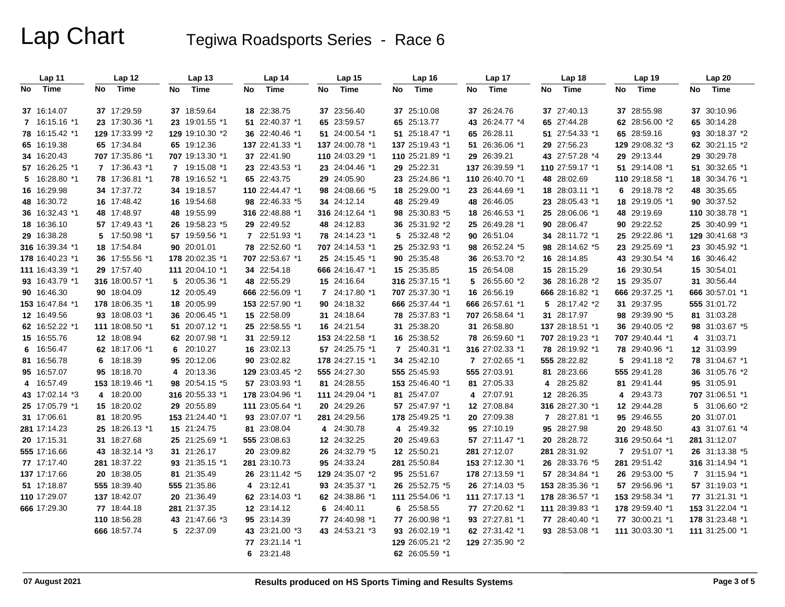|    | Lap 11          |      | Lap 12          |    | Lap <sub>13</sub> |    | Lap 14          |    | <b>Lap 15</b>   | Lap 16          |    | Lap 17          |    | Lap <sub>18</sub> |    | Lap 19          |    | <b>Lap 20</b>   |
|----|-----------------|------|-----------------|----|-------------------|----|-----------------|----|-----------------|-----------------|----|-----------------|----|-------------------|----|-----------------|----|-----------------|
| No | Time            | No l | Time            | No | Time              | No | Time            | No | Time            | No Time         | No | Time            | No | Time              | No | Time            | No | Time            |
|    |                 |      |                 |    |                   |    |                 |    |                 |                 |    |                 |    |                   |    |                 |    |                 |
|    | 37 16:14.07     |      | 37 17:29.59     |    | 37 18:59.64       |    | 18 22:38.75     |    | 37 23:56.40     | 37 25:10.08     |    | 37 26:24.76     |    | 37 27:40.13       |    | 37 28:55.98     |    | 37 30:10.96     |
|    | 7 16:15.16 *1   |      | 23 17:30.36 *1  |    | 23 19:01.55 *1    |    | 51 22:40.37 *1  |    | 65 23:59.57     | 65 25:13.77     |    | 43 26:24.77 *4  |    | 65 27:44.28       |    | 62 28:56.00 *2  |    | 65 30:14.28     |
|    | 78 16:15.42 *1  |      | 129 17:33.99 *2 |    | 129 19:10.30 *2   |    | 36 22:40.46 *1  |    | 51 24:00.54 *1  | 51 25:18.47 *1  |    | 65 26:28.11     |    | 51 27:54.33 *1    |    | 65 28:59.16     |    | 93 30:18.37 *2  |
|    | 65 16:19.38     |      | 65 17:34.84     |    | 65 19:12.36       |    | 137 22:41.33 *1 |    | 137 24:00.78 *1 | 137 25:19.43 *1 |    | 51 26:36.06 *1  |    | 29 27:56.23       |    | 129 29:08.32 *3 |    | 62 30:21.15 *2  |
|    | 34 16:20.43     |      | 707 17:35.86 *1 |    | 707 19:13.30 *1   |    | 37 22:41.90     |    | 110 24:03.29 *1 | 110 25:21.89 *1 |    | 29 26:39.21     |    | 43 27:57.28 *4    |    | 29 29:13.44     |    | 29 30:29.78     |
|    | 57 16:26.25 *1  |      | 7 17:36.43 *1   |    | 7 19:15.08 *1     |    | 23 22:43.53 *1  |    | 23 24:04.46 *1  | 29 25:22.31     |    | 137 26:39.59 *1 |    | 110 27:59.17 *1   |    | 51 29:14.08 *1  |    | 51 30:32.65 *1  |
|    | 5 16:28.80 *1   |      | 78 17:36.81 *1  |    | 78 19:16.52 *1    |    | 65 22:43.75     |    | 29 24:05.90     | 23 25:24.86 *1  |    | 110 26:40.70 *1 |    | 48 28:02.69       |    | 110 29:18.58 *1 |    | 18 30:34.76 *1  |
|    | 16 16:29.98     |      | 34 17:37.72     |    | 34 19:18.57       |    | 110 22:44.47 *1 |    | 98 24:08.66 *5  | 18 25:29.00 *1  |    | 23 26:44.69 *1  |    | 18 28:03.11 *1    |    | 6 29:18.78 *2   |    | 48 30:35.65     |
|    | 48 16:30.72     |      | 16 17:48.42     |    | 16 19:54.68       |    | 98 22:46.33 *5  |    | 34 24:12.14     | 48 25:29.49     |    | 48 26:46.05     |    | 23 28:05.43 *1    |    | 18 29:19.05 *1  |    | 90 30:37.52     |
|    | 36 16:32.43 *1  |      | 48 17:48.97     |    | 48 19:55.99       |    | 316 22:48.88 *1 |    | 316 24:12.64 *1 | 98 25:30.83 *5  |    | 18 26:46.53 *1  |    | 25 28:06.06 *1    |    | 48 29:19.69     |    | 110 30:38.78 *1 |
|    | 18 16:36.10     |      | 57 17:49.43 *1  |    | 26 19:58.23 *5    |    | 29 22:49.52     |    | 48 24:12.83     | 36 25:31.92 *2  |    | 25 26:49.28 *1  |    | 90 28:06.47       |    | 90 29:22.52     |    | 25 30:40.99 *1  |
|    | 29 16:38.28     |      | 5 17:50.98 *1   |    | 57 19:59.56 *1    |    | 7 22:51.93 *1   |    | 78 24:14.23 *1  | 5 25:32.48 *2   |    | 90 26:51.04     |    | 34 28:11.72 *1    |    | 25 29:22.86 *1  |    | 129 30:41.68 *3 |
|    | 316 16:39.34 *1 |      | 18 17:54.84     |    | 90 20:01.01       |    | 78 22:52.60 *1  |    | 707 24:14.53 *1 | 25 25:32.93 *1  |    | 98 26:52.24 *5  |    | 98 28:14.62 *5    |    | 23 29:25.69 *1  |    | 23 30:45.92 *1  |
|    | 178 16:40.23 *1 |      | 36 17:55.56 *1  |    | 178 20:02.35 *1   |    | 707 22:53.67 *1 |    | 25 24:15.45 *1  | 90 25:35.48     |    | 36 26:53.70 *2  |    | 16 28:14.85       |    | 43 29:30.54 *4  |    | 16 30:46.42     |
|    | 111 16:43.39 *1 |      | 29 17:57.40     |    | 111 20:04.10 *1   |    | 34 22:54.18     |    | 666 24:16.47 *1 | 15 25:35.85     |    | 15 26:54.08     |    | 15 28:15.29       |    | 16 29:30.54     |    | 15 30:54.01     |
|    | 93 16:43.79 *1  |      | 316 18:00.57 *1 |    | 5 20:05.36 *1     |    | 48 22:55.29     |    | 15 24:16.64     | 316 25:37.15 *1 |    | 5 26:55.60 *2   |    | 36 28:16.28 *2    |    | 15 29:35.07     |    | 31 30:56.44     |
|    | 90 16:46.30     |      | 90 18:04.09     |    | 12 20:05.49       |    | 666 22:56.09 *1 |    | 7 24:17.80 *1   | 707 25:37.30 *1 |    | 16 26:56.19     |    | 666 28:16.82 *1   |    | 666 29:37.25 *1 |    | 666 30:57.01 *1 |
|    | 153 16:47.84 *1 |      | 178 18:06.35 *1 |    | 18 20:05.99       |    | 153 22:57.90 *1 |    | 90 24:18.32     | 666 25:37.44 *1 |    | 666 26:57.61 *1 |    | 5 28:17.42 *2     |    | 31 29:37.95     |    | 555 31:01.72    |
|    | 12 16:49.56     |      | 93 18:08.03 *1  |    | 36 20:06.45 *1    |    | 15 22:58.09     |    | 31 24:18.64     | 78 25:37.83 *1  |    | 707 26:58.64 *1 |    | 31 28:17.97       |    | 98 29:39.90 *5  |    | 81 31:03.28     |
|    | 62 16:52.22 *1  |      | 111 18:08.50 *1 |    | 51 20:07.12 *1    |    | 25 22:58.55 *1  |    | 16 24:21.54     | 31 25:38.20     |    | 31 26:58.80     |    | 137 28:18.51 *1   |    | 36 29:40.05 *2  |    | 98 31:03.67 *5  |
|    | 15 16:55.76     |      | 12 18:08.94     |    | 62 20:07.98 *1    |    | 31 22:59.12     |    | 153 24:22.58 *1 | 16 25:38.52     |    | 78 26:59.60 *1  |    | 707 28:19.23 *1   |    | 707 29:40.44 *1 |    | 4 31:03.71      |
|    | 6 16:56.47      |      | 62 18:17.06 *1  |    | 6 20:10.27        |    | 16 23:02.13     |    | 57 24:25.75 *1  | 7 25:40.31 *1   |    | 316 27:02.33 *1 |    | 78 28:19.92 *1    |    | 78 29:40.96 *1  |    | 12 31:03.99     |
|    | 81 16:56.78     |      | 6 18:18.39      |    | 95 20:12.06       |    | 90 23:02.82     |    | 178 24:27.15 *1 | 34 25:42.10     |    | 7 27:02.65 *1   |    | 555 28:22.82      | 5  | 29:41.18 *2     |    | 78 31:04.67 *1  |
|    | 95 16:57.07     |      | 95 18:18.70     |    | 4 20:13.36        |    | 129 23:03.45 *2 |    | 555 24:27.30    | 555 25:45.93    |    | 555 27:03.91    |    | 81 28:23.66       |    | 555 29:41.28    |    | 36 31:05.76 *2  |
|    | 4 16:57.49      |      | 153 18:19.46 *1 |    | 98 20:54.15 *5    |    | 57 23:03.93 *1  |    | 81 24:28.55     | 153 25:46.40 *1 |    | 81 27:05.33     |    | 4 28:25.82        |    | 81 29:41.44     |    | 95 31:05.91     |
|    | 43 17:02.14 *3  |      | 4 18:20.00      |    | 316 20:55.33 *1   |    | 178 23:04.96 *1 |    | 111 24:29.04 *1 | 81 25:47.07     |    | 4 27:07.91      |    | 12 28:26.35       |    | 4 29:43.73      |    | 707 31:06.51 *1 |
|    | 25 17:05.79 *1  |      | 15 18:20.02     |    | 29 20:55.89       |    | 111 23:05.64 *1 |    | 20 24:29.26     | 57 25:47.97 *1  |    | 12 27:08.84     |    | 316 28:27.30 *1   |    | 12 29:44.28     |    | 5 31:06.60 *2   |
|    | 31 17:06.61     |      | 81 18:20.95     |    | 153 21:24.40 *1   |    | 93 23:07.07 *1  |    | 281 24:29.56    | 178 25:49.25 *1 |    | 20 27:09.38     |    | 7 28:27.81 *1     |    | 95 29:46.55     |    | 20 31:07.01     |
|    | 281 17:14.23    |      | 25 18:26.13 *1  |    | 15 21:24.75       |    | 81 23:08.04     |    | 4 24:30.78      | 4 25:49.32      |    | 95 27:10.19     |    | 95 28:27.98       |    | 20 29:48.50     |    | 43 31:07.61 *4  |
|    | 20 17:15.31     |      | 31 18:27.68     |    | 25 21:25.69 *1    |    | 555 23:08.63    |    | 12 24:32.25     | 20 25:49.63     |    | 57 27:11.47 *1  |    | 20 28:28.72       |    | 316 29:50.64 *1 |    | 281 31:12.07    |
|    | 555 17:16.66    |      | 43 18:32.14 *3  |    | 31 21:26.17       |    | 20 23:09.82     |    | 26 24:32.79 *5  | 12 25:50.21     |    | 281 27:12.07    |    | 281 28:31.92      |    | 7 29:51.07 *1   |    | 26 31:13.38 *5  |
|    | 77 17:17.40     |      | 281 18:37.22    |    | 93 21:35.15 *1    |    | 281 23:10.73    |    | 95 24:33.24     | 281 25:50.84    |    | 153 27:12.30 *1 |    | 26 28:33.76 *5    |    | 281 29:51.42    |    | 316 31:14.94 *1 |
|    | 137 17:17.66    |      | 20 18:38.05     |    | 81 21:35.49       |    | 26 23:11.42 *5  |    | 129 24:35.07 *2 | 95 25:51.67     |    | 178 27:13.59 *1 |    | 57 28:34.84 *1    |    | 26 29:53.00 *5  |    | 7 31:15.94 *1   |
|    | 51 17:18.87     |      | 555 18:39.40    |    | 555 21:35.86      | 4  | 23:12.41        |    | 93 24:35.37 *1  | 26 25:52.75 *5  |    | 26 27:14.03 *5  |    | 153 28:35.36 *1   |    | 57 29:56.96 *1  |    | 57 31:19.03 *1  |
|    | 110 17:29.07    |      | 137 18:42.07    |    | 20 21:36.49       |    | 62 23:14.03 *1  |    | 62 24:38.86 *1  | 111 25:54.06 *1 |    | 111 27:17.13 *1 |    | 178 28:36.57 *1   |    | 153 29:58.34 *1 |    | 77 31:21.31 *1  |
|    | 666 17:29.30    |      | 77 18:44.18     |    | 281 21:37.35      |    | 12 23:14.12     |    | 6 24:40.11      | 6 25:58.55      |    | 77 27:20.62 *1  |    | 111 28:39.83 *1   |    | 178 29:59.40 *1 |    | 153 31:22.04 *1 |
|    |                 |      | 110 18:56.28    |    | 43 21:47.66 *3    |    | 95 23:14.39     |    | 77 24:40.98 *1  | 77 26:00.98 *1  |    | 93 27:27.81 *1  |    | 77 28:40.40 *1    |    | 77 30:00.21 *1  |    | 178 31:23.48 *1 |
|    |                 |      | 666 18:57.74    |    | 5 22:37.09        |    | 43 23:21.00 *3  |    | 43 24:53.21 *3  | 93 26:02.19 *1  |    | 62 27:31.42 *1  |    | 93 28:53.08 *1    |    | 111 30:03.30 *1 |    | 111 31:25.00 *1 |
|    |                 |      |                 |    |                   |    | 77 23:21.14 *1  |    |                 | 129 26:05.21 *2 |    | 129 27:35.90 *2 |    |                   |    |                 |    |                 |
|    |                 |      |                 |    |                   |    | 6 23:21.48      |    |                 | 62 26:05.59 *1  |    |                 |    |                   |    |                 |    |                 |
|    |                 |      |                 |    |                   |    |                 |    |                 |                 |    |                 |    |                   |    |                 |    |                 |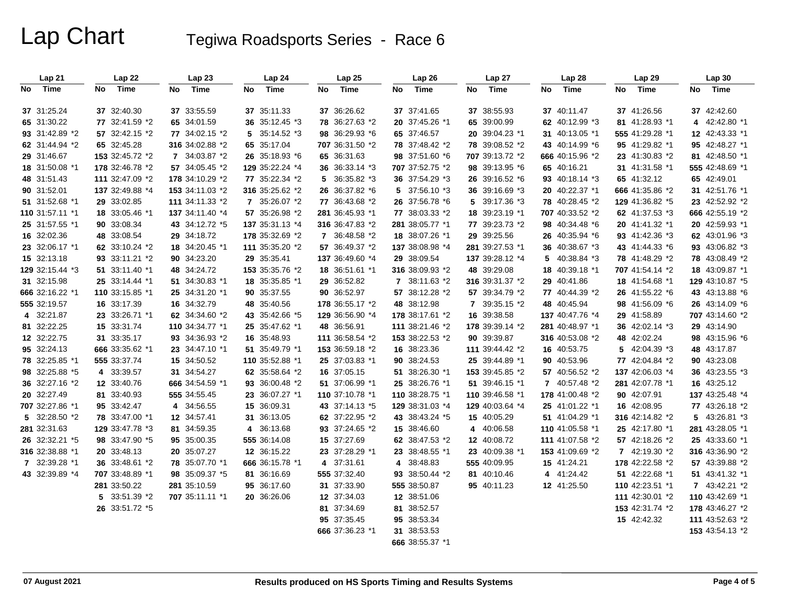|     | Lap21           | Lap 22          | Lap23           | Lap24             | Lap25           | Lap26           | Lap 27          | Lap28           | Lap 29          | <b>Lap 30</b>   |
|-----|-----------------|-----------------|-----------------|-------------------|-----------------|-----------------|-----------------|-----------------|-----------------|-----------------|
| No. | Time            | Time<br>No      | Time<br>No      | Time<br><b>No</b> | Time<br>No      | Time<br>No      | Time<br>No.     | Time<br>No      | Time<br>No      | Time<br>No      |
|     | 37 31:25.24     | 37 32:40.30     | 37 33:55.59     | 37 35:11.33       | 37 36:26.62     | 37 37:41.65     | 37 38:55.93     | 37 40:11.47     | 37 41:26.56     | 37 42:42.60     |
|     | 65 31:30.22     | 77 32:41.59 *2  | 65 34:01.59     | 36 35:12.45 *3    | 78 36:27.63 *2  | 20 37:45.26 *1  | 65 39:00.99     | 62 40:12.99 *3  | 81 41:28.93 *1  | 4 42:42.80 *1   |
|     | 93 31:42.89 *2  | 57 32:42.15 *2  | 77 34:02.15 *2  | $5$ 35:14.52 $*3$ | 98 36:29.93 *6  | 65 37:46.57     | 20 39:04.23 *1  | 31 40:13.05 *1  | 555 41:29.28 *1 | 12 42:43.33 *1  |
|     | 62 31:44.94 *2  | 65 32:45.28     | 316 34:02.88 *2 | 65 35:17.04       | 707 36:31.50 *2 | 78 37:48.42 *2  | 78 39:08.52 *2  | 43 40:14.99 *6  | 95 41:29.82 *1  | 95 42:48.27 *1  |
|     | 29 31:46.67     | 153 32:45.72 *2 | 7 34:03.87 *2   | 26 35:18.93 *6    | 65 36:31.63     | 98 37:51.60 *6  | 707 39:13.72 *2 | 666 40:15.96 *2 | 23 41:30.83 *2  | 81 42:48.50 *1  |
|     | 18 31:50.08 *1  | 178 32:46.78 *2 | 57 34:05.45 *2  | 129 35:22.24 *4   | 36 36:33.14 *3  | 707 37:52.75 *2 | 98 39:13.95 *6  | 65 40:16.21     | 31 41:31.58 *1  | 555 42:48.69 *1 |
|     | 48 31:51.43     | 111 32:47.09 *2 | 178 34:10.29 *2 | 77 35:22.34 *2    | 5 36:35.82 *3   | 36 37:54.29 *3  | 26 39:16.52 *6  | 93 40:18.14 *3  | 65 41:32.12     | 65 42:49.01     |
|     | 90 31:52.01     | 137 32:49.88 *4 | 153 34:11.03 *2 | 316 35:25.62 *2   | 26 36:37.82 *6  | 5 37:56.10 *3   | 36 39:16.69 *3  | 20 40:22.37 *1  | 666 41:35.86 *2 | 31 42:51.76 *1  |
|     | 51 31:52.68 *1  | 29 33:02.85     | 111 34:11.33 *2 | 7 35:26.07 *2     | 77 36:43.68 *2  | 26 37:56.78 *6  | 5 39:17.36 *3   | 78 40:28.45 *2  | 129 41:36.82 *5 | 23 42:52.92 *2  |
|     | 110 31:57.11 *1 | 18 33:05.46 *1  | 137 34:11.40 *4 | 57 35:26.98 *2    | 281 36:45.93 *1 | 77 38:03.33 *2  | 18 39:23.19 *1  | 707 40:33.52 *2 | 62 41:37.53 *3  | 666 42:55.19 *2 |
|     | 25 31:57.55 *1  | 90 33:08.34     | 43 34:12.72 *5  | 137 35:31.13 *4   | 316 36:47.83 *2 | 281 38:05.77 *1 | 77 39:23.73 *2  | 98 40:34.48 *6  | 20 41:41.32 *1  | 20 42:59.93 *1  |
|     | 16 32:02.36     | 48 33:08.54     | 29 34:18.72     | 178 35:32.69 *2   | 7 36:48.58 *2   | 18 38:07.26 *1  | 29 39:25.56     | 26 40:35.94 *6  | 93 41:42.36 *3  | 62 43:01.96 *3  |
|     | 23 32:06.17 *1  | 62 33:10.24 *2  | 18 34:20.45 *1  | 111 35:35.20 *2   | 57 36:49.37 *2  | 137 38:08.98 *4 | 281 39:27.53 *1 | 36 40:38.67 *3  | 43 41:44.33 *6  | 93 43:06.82 *3  |
|     | 15 32:13.18     | 93 33:11.21 *2  | 90 34:23.20     | 29 35:35.41       | 137 36:49.60 *4 | 29 38:09.54     | 137 39:28.12 *4 | 5 40:38.84 *3   | 78 41:48.29 *2  | 78 43:08.49 *2  |
|     | 129 32:15.44 *3 | 51 33:11.40 *1  | 48 34:24.72     | 153 35:35.76 *2   | 18 36:51.61 *1  | 316 38:09.93 *2 | 48 39:29.08     | 18 40:39.18 *1  | 707 41:54.14 *2 | 18 43:09.87 *1  |
|     | 31 32:15.98     | 25 33:14.44 *1  | 51 34:30.83 *1  | 18 35:35.85 *1    | 29 36:52.82     | 7 38:11.63 *2   | 316 39:31.37 *2 | 29 40:41.86     | 18 41:54.68 *1  | 129 43:10.87 *5 |
|     | 666 32:16.22 *1 | 110 33:15.85 *1 | 25 34:31.20 *1  | 90 35:37.55       | 90 36:52.97     | 57 38:12.28 *2  | 57 39:34.79 *2  | 77 40:44.39 *2  | 26 41:55.22 *6  | 43 43:13.88 *6  |
|     | 555 32:19.57    | 16 33:17.39     | 16 34:32.79     | 48 35:40.56       | 178 36:55.17 *2 | 48 38:12.98     | 7 39:35.15 *2   | 48 40:45.94     | 98 41:56.09 *6  | 26 43:14.09 *6  |
|     | 4 32:21.87      | 23 33:26.71 *1  | 62 34:34.60 *2  | 43 35:42.66 *5    | 129 36:56.90 *4 | 178 38:17.61 *2 | 16 39:38.58     | 137 40:47.76 *4 | 29 41:58.89     | 707 43:14.60 *2 |
|     | 81 32:22.25     | 15 33:31.74     | 110 34:34.77 *1 | 25 35:47.62 *1    | 48 36:56.91     | 111 38:21.46 *2 | 178 39:39.14 *2 | 281 40:48.97 *1 | 36 42:02.14 *3  | 29 43:14.90     |
|     | 12 32:22.75     | 31 33:35.17     | 93 34:36.93 *2  | 16 35:48.93       | 111 36:58.54 *2 | 153 38:22.53 *2 | 90 39:39.87     | 316 40:53.08 *2 | 48 42:02.24     | 98 43:15.96 *6  |
|     | 95 32:24.13     | 666 33:35.62 *1 | 23 34:47.10 *1  | 51 35:49.79 *1    | 153 36:59.18 *2 | 16 38:23.36     | 111 39:44.42 *2 | 16 40:53.75     | 5 42:04.39 *3   | 48 43:17.87     |
|     | 78 32:25.85 *1  | 555 33:37.74    | 15 34:50.52     | 110 35:52.88 *1   | 25 37:03.83 *1  | 90 38:24.53     | 25 39:44.89 *1  | 90 40:53.96     | 77 42:04.84 *2  | 90 43:23.08     |
|     | 98 32:25.88 *5  | 4 33:39.57      | 31 34:54.27     | 62 35:58.64 *2    | 16 37:05.15     | 51 38:26.30 *1  | 153 39:45.85 *2 | 57 40:56.52 *2  | 137 42:06.03 *4 | 36 43:23.55 *3  |
|     | 36 32:27.16 *2  | 12 33:40.76     | 666 34:54.59 *1 | 93 36:00.48 *2    | 51 37:06.99 *1  | 25 38:26.76 *1  | 51 39:46.15 *1  | 7 40:57.48 *2   | 281 42:07.78 *1 | 16 43:25.12     |
|     | 20 32:27.49     | 81 33:40.93     | 555 34:55.45    | 23 36:07.27 *1    | 110 37:10.78 *1 | 110 38:28.75 *1 | 110 39:46.58 *1 | 178 41:00.48 *2 | 90 42:07.91     | 137 43:25.48 *4 |
|     | 707 32:27.86 *1 | 95 33:42.47     | 4 34:56.55      | 15 36:09.31       | 43 37:14.13 *5  | 129 38:31.03 *4 | 129 40:03.64 *4 | 25 41:01.22 *1  | 16 42:08.95     | 77 43:26.18 *2  |
|     | 5 32:28.50 *2   | 78 33:47.00 *1  | 12 34:57.41     | 31 36:13.05       | 62 37:22.95 *2  | 43 38:43.24 *5  | 15 40:05.29     | 51 41:04.29 *1  | 316 42:14.82 *2 | 5 43:26.81 *3   |
|     | 281 32:31.63    | 129 33:47.78 *3 | 81 34:59.35     | 4 36:13.68        | 93 37:24.65 *2  | 15 38:46.60     | 4 40:06.58      | 110 41:05.58 *1 | 25 42:17.80 *1  | 281 43:28.05 *1 |
|     | 26 32:32.21 *5  | 98 33:47.90 *5  | 95 35:00.35     | 555 36:14.08      | 15 37:27.69     | 62 38:47.53 *2  | 12 40:08.72     | 111 41:07.58 *2 | 57 42:18.26 *2  | 25 43:33.60 *1  |
|     | 316 32:38.88 *1 | 20 33:48.13     | 20 35:07.27     | 12 36:15.22       | 23 37:28.29 *1  | 23 38:48.55 *1  | 23 40:09.38 *1  | 153 41:09.69 *2 | 7 42:19.30 *2   | 316 43:36.90 *2 |
|     | 7 32:39.28 *1   | 36 33:48.61 *2  | 78 35:07.70 *1  | 666 36:15.78 *1   | 4 37:31.61      | 4 38:48.83      | 555 40:09.95    | 15 41:24.21     | 178 42:22.58 *2 | 57 43:39.88 *2  |
|     | 43 32:39.89 *4  | 707 33:48.89 *1 | 98 35:09.37 *5  | 81 36:16.69       | 555 37:32.40    | 93 38:50.44 *2  | 81 40:10.46     | 4 41:24.42      | 51 42:22.68 *1  | 51 43:41.32 *1  |
|     |                 | 281 33:50.22    | 281 35:10.59    | 95 36:17.60       | 31 37:33.90     | 555 38:50.87    | 95 40:11.23     | 12 41:25.50     | 110 42:23.51 *1 | 7 43:42.21 *2   |
|     |                 | 5 33:51.39 *2   | 707 35:11.11 *1 | 20 36:26.06       | 12 37:34.03     | 12 38:51.06     |                 |                 | 111 42:30.01 *2 | 110 43:42.69 *1 |
|     |                 | 26 33:51.72 *5  |                 |                   | 81 37:34.69     | 81 38:52.57     |                 |                 | 153 42:31.74 *2 | 178 43:46.27 *2 |
|     |                 |                 |                 |                   | 95 37:35.45     | 95 38:53.34     |                 |                 | 15 42:42.32     | 111 43:52.63 *2 |
|     |                 |                 |                 |                   | 666 37:36.23 *1 | 31 38:53.53     |                 |                 |                 | 153 43:54.13 *2 |
|     |                 |                 |                 |                   |                 | 666 38:55.37 *1 |                 |                 |                 |                 |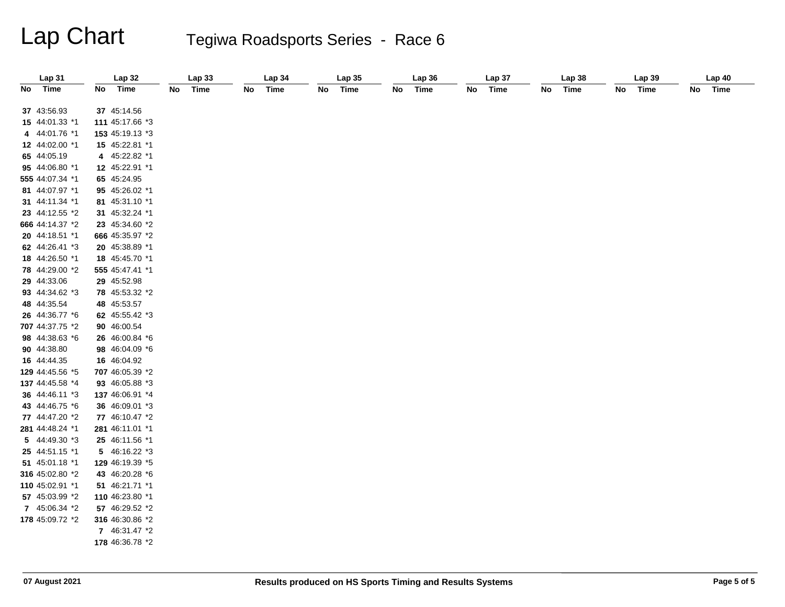| Lap 31          | Lap 32          | <b>Lap 33</b>     | Lap 34            | <b>Lap 35</b>     | Lap 36            | Lap 37            | Lap 38            | Lap 39            | Lap 40            |
|-----------------|-----------------|-------------------|-------------------|-------------------|-------------------|-------------------|-------------------|-------------------|-------------------|
| No Time         | No Time         | <b>Time</b><br>No | <b>Time</b><br>No | <b>Time</b><br>No | No<br><b>Time</b> | <b>Time</b><br>No | No<br><b>Time</b> | No<br><b>Time</b> | No<br><b>Time</b> |
|                 |                 |                   |                   |                   |                   |                   |                   |                   |                   |
| 37 43:56.93     | 37 45:14.56     |                   |                   |                   |                   |                   |                   |                   |                   |
| 15 44:01.33 *1  | 111 45:17.66 *3 |                   |                   |                   |                   |                   |                   |                   |                   |
| 4 44:01.76 *1   | 153 45:19.13 *3 |                   |                   |                   |                   |                   |                   |                   |                   |
| 12 44:02.00 *1  | 15 45:22.81 *1  |                   |                   |                   |                   |                   |                   |                   |                   |
| 65 44:05.19     | 4 45:22.82 *1   |                   |                   |                   |                   |                   |                   |                   |                   |
| 95 44:06.80 *1  | 12 45:22.91 *1  |                   |                   |                   |                   |                   |                   |                   |                   |
| 555 44:07.34 *1 | 65 45:24.95     |                   |                   |                   |                   |                   |                   |                   |                   |
| 81 44:07.97 *1  | 95 45:26.02 *1  |                   |                   |                   |                   |                   |                   |                   |                   |
| 31 44:11.34 *1  | 81 45:31.10 *1  |                   |                   |                   |                   |                   |                   |                   |                   |
| 23 44:12.55 *2  | 31 45:32.24 *1  |                   |                   |                   |                   |                   |                   |                   |                   |
| 666 44:14.37 *2 | 23 45:34.60 *2  |                   |                   |                   |                   |                   |                   |                   |                   |
| 20 44:18.51 *1  | 666 45:35.97 *2 |                   |                   |                   |                   |                   |                   |                   |                   |
| 62 44:26.41 *3  | 20 45:38.89 *1  |                   |                   |                   |                   |                   |                   |                   |                   |
| 18 44:26.50 *1  | 18 45:45.70 *1  |                   |                   |                   |                   |                   |                   |                   |                   |
| 78 44:29.00 *2  | 555 45:47.41 *1 |                   |                   |                   |                   |                   |                   |                   |                   |
| 29 44:33.06     | 29 45:52.98     |                   |                   |                   |                   |                   |                   |                   |                   |
| 93 44:34.62 *3  | 78 45:53.32 *2  |                   |                   |                   |                   |                   |                   |                   |                   |
| 48 44:35.54     | 48 45:53.57     |                   |                   |                   |                   |                   |                   |                   |                   |
| 26 44:36.77 *6  | 62 45:55.42 *3  |                   |                   |                   |                   |                   |                   |                   |                   |
| 707 44:37.75 *2 | 90 46:00.54     |                   |                   |                   |                   |                   |                   |                   |                   |
| 98 44:38.63 *6  | 26 46:00.84 *6  |                   |                   |                   |                   |                   |                   |                   |                   |
| 90 44:38.80     | 98 46:04.09 *6  |                   |                   |                   |                   |                   |                   |                   |                   |
| 16 44:44.35     | 16 46:04.92     |                   |                   |                   |                   |                   |                   |                   |                   |
| 129 44:45.56 *5 | 707 46:05.39 *2 |                   |                   |                   |                   |                   |                   |                   |                   |
| 137 44:45.58 *4 | 93 46:05.88 *3  |                   |                   |                   |                   |                   |                   |                   |                   |
| 36 44:46.11 *3  | 137 46:06.91 *4 |                   |                   |                   |                   |                   |                   |                   |                   |
| 43 44:46.75 *6  | 36 46:09.01 *3  |                   |                   |                   |                   |                   |                   |                   |                   |
| 77 44:47.20 *2  | 77 46:10.47 *2  |                   |                   |                   |                   |                   |                   |                   |                   |
| 281 44:48.24 *1 | 281 46:11.01 *1 |                   |                   |                   |                   |                   |                   |                   |                   |
| 5 44:49.30 *3   | 25 46:11.56 *1  |                   |                   |                   |                   |                   |                   |                   |                   |
| 25 44:51.15 *1  | 5 46:16.22 *3   |                   |                   |                   |                   |                   |                   |                   |                   |
| 51 45:01.18 *1  | 129 46:19.39 *5 |                   |                   |                   |                   |                   |                   |                   |                   |
| 316 45:02.80 *2 | 43 46:20.28 *6  |                   |                   |                   |                   |                   |                   |                   |                   |
| 110 45:02.91 *1 | 51 46:21.71 *1  |                   |                   |                   |                   |                   |                   |                   |                   |
| 57 45:03.99 *2  | 110 46:23.80 *1 |                   |                   |                   |                   |                   |                   |                   |                   |
| 7 45:06.34 *2   | 57 46:29.52 *2  |                   |                   |                   |                   |                   |                   |                   |                   |
| 178 45:09.72 *2 | 316 46:30.86 *2 |                   |                   |                   |                   |                   |                   |                   |                   |
|                 | 7 46:31.47 *2   |                   |                   |                   |                   |                   |                   |                   |                   |
|                 | 178 46:36.78 *2 |                   |                   |                   |                   |                   |                   |                   |                   |
|                 |                 |                   |                   |                   |                   |                   |                   |                   |                   |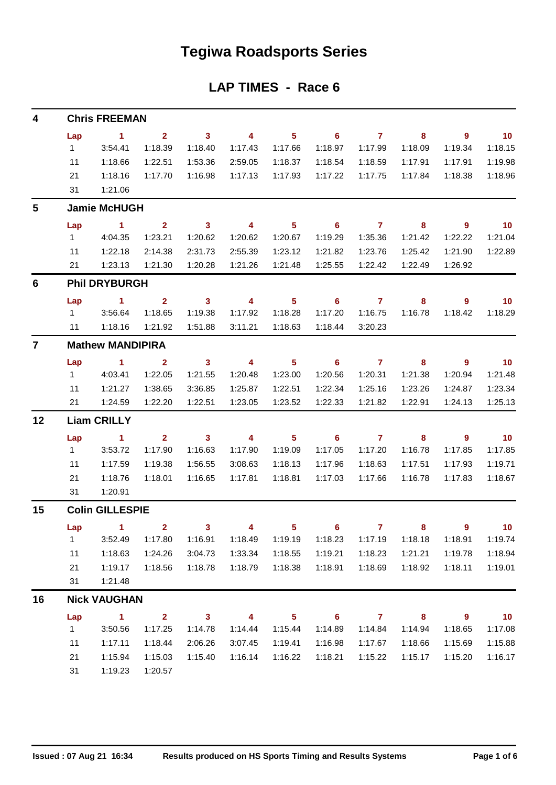## **Tegiwa Roadsports Series**

### **LAP TIMES - Race 6**

| 4              | <b>Chris FREEMAN</b>    |                        |                         |                         |                         |                |                            |                |                            |                          |                          |  |  |  |
|----------------|-------------------------|------------------------|-------------------------|-------------------------|-------------------------|----------------|----------------------------|----------------|----------------------------|--------------------------|--------------------------|--|--|--|
|                | Lap                     | $\sim$ 1               | $\overline{2}$          | $\overline{\mathbf{3}}$ | $\overline{4}$          | 5 <sub>5</sub> | $\overline{\phantom{0}}$ 6 | $\overline{7}$ | 8                          | $\overline{\phantom{a}}$ | $\overline{10}$          |  |  |  |
|                | $1 \quad$               | 3:54.41                | 1:18.39                 | 1:18.40                 | 1:17.43                 | 1:17.66        | 1:18.97                    | 1:17.99        | 1:18.09                    | 1:19.34                  | 1:18.15                  |  |  |  |
|                | 11                      | 1:18.66                | 1:22.51                 | 1:53.36                 | 2:59.05                 | 1:18.37        | 1:18.54                    | 1:18.59        | 1:17.91                    | 1:17.91                  | 1:19.98                  |  |  |  |
|                | 21                      | 1:18.16                | 1:17.70                 | 1:16.98                 | 1:17.13                 | 1:17.93        | 1:17.22                    | 1:17.75        | 1:17.84                    | 1:18.38                  | 1:18.96                  |  |  |  |
|                | 31                      | 1:21.06                |                         |                         |                         |                |                            |                |                            |                          |                          |  |  |  |
| 5              |                         | <b>Jamie McHUGH</b>    |                         |                         |                         |                |                            |                |                            |                          |                          |  |  |  |
|                | Lap                     | $\sim$ 1               | $\mathbf{2}$            | $\overline{\mathbf{3}}$ | $\sim$ 4                | 5 <sub>5</sub> | $\overline{\phantom{0}}$ 6 | $\overline{7}$ | $\overline{\phantom{a}}$ 8 | $\overline{\phantom{a}}$ | $\overline{\mathbf{10}}$ |  |  |  |
|                | $1 \quad$               | 4:04.35                | 1:23.21                 | 1:20.62                 | 1:20.62                 | 1:20.67        | 1:19.29                    | 1:35.36        | 1:21.42                    | 1:22.22                  | 1:21.04                  |  |  |  |
|                | 11                      | 1:22.18                | 2:14.38                 | 2:31.73                 | 2:55.39                 | 1:23.12        | 1:21.82                    | 1:23.76        | 1:25.42                    | 1:21.90                  | 1:22.89                  |  |  |  |
|                | 21                      | 1:23.13                | 1:21.30                 | 1:20.28                 | 1:21.26                 | 1:21.48        | 1:25.55                    | 1:22.42        | 1:22.49                    | 1:26.92                  |                          |  |  |  |
| 6              | <b>Phil DRYBURGH</b>    |                        |                         |                         |                         |                |                            |                |                            |                          |                          |  |  |  |
|                | Lap                     | $\sim$ $\sim$ 1.       | $\overline{\mathbf{2}}$ | $\overline{\mathbf{3}}$ | $\overline{4}$          | 5 <sub>5</sub> | $\overline{\phantom{0}}$ 6 | $\overline{7}$ | 8                          | $9^{\circ}$              | 10                       |  |  |  |
|                | $1 \quad$               | 3:56.64                | 1:18.65                 | 1:19.38                 | 1:17.92                 | 1:18.28        | 1:17.20                    | 1:16.75        | 1:16.78                    | 1:18.42                  | 1:18.29                  |  |  |  |
|                | 11                      | 1:18.16                | 1:21.92                 | 1:51.88                 | 3:11.21                 | 1:18.63        | 1:18.44                    | 3:20.23        |                            |                          |                          |  |  |  |
| $\overline{7}$ | <b>Mathew MANDIPIRA</b> |                        |                         |                         |                         |                |                            |                |                            |                          |                          |  |  |  |
|                | Lap                     | $\sim$ 1               | $\mathbf{2}$            | $\overline{\mathbf{3}}$ | $\overline{4}$          | 5 <sub>5</sub> | $\overline{\phantom{0}}$ 6 | $\overline{7}$ | $\overline{\phantom{a}}$ 8 | $9^{\circ}$              | 10                       |  |  |  |
|                | 1                       | 4:03.41                | 1:22.05                 | 1:21.55                 | 1:20.48                 | 1:23.00        | 1:20.56                    | 1:20.31        | 1:21.38                    | 1:20.94                  | 1:21.48                  |  |  |  |
|                | 11                      | 1:21.27                | 1:38.65                 | 3:36.85                 | 1:25.87                 | 1:22.51        | 1:22.34                    | 1:25.16        | 1:23.26                    | 1:24.87                  | 1:23.34                  |  |  |  |
|                | 21                      | 1:24.59                | 1:22.20                 | 1:22.51                 | 1:23.05                 | 1:23.52        | 1:22.33                    | 1:21.82        | 1:22.91                    | 1:24.13                  | 1:25.13                  |  |  |  |
| 12             | <b>Liam CRILLY</b>      |                        |                         |                         |                         |                |                            |                |                            |                          |                          |  |  |  |
|                | Lap                     | $\sim$ 1               | $\mathbf{2}$            | $\overline{\mathbf{3}}$ | $\overline{4}$          | $5^{\circ}$    | $\overline{\phantom{0}}$ 6 | $\overline{7}$ | 8                          | - 9                      | $\overline{10}$          |  |  |  |
|                | 1                       | 3:53.72                | 1:17.90                 | 1:16.63                 | 1:17.90                 | 1:19.09        | 1:17.05                    | 1:17.20        | 1:16.78                    | 1:17.85                  | 1:17.85                  |  |  |  |
|                | 11                      | 1:17.59                | 1:19.38                 | 1:56.55                 | 3:08.63                 | 1:18.13        | 1:17.96                    | 1:18.63        | 1:17.51                    | 1:17.93                  | 1:19.71                  |  |  |  |
|                | 21                      | 1:18.76                | 1:18.01                 | 1:16.65                 | 1:17.81                 | 1:18.81        | 1:17.03                    | 1:17.66        | 1:16.78                    | 1:17.83                  | 1:18.67                  |  |  |  |
|                | 31                      | 1:20.91                |                         |                         |                         |                |                            |                |                            |                          |                          |  |  |  |
| 15             |                         | <b>Colin GILLESPIE</b> |                         |                         |                         |                |                            |                |                            |                          |                          |  |  |  |
|                |                         | Lap 1                  | -2                      | $3 -$                   | $\sim$ 4 $\sim$         |                | $5 - 1$                    | 7 <sup>7</sup> | 8.                         | 9                        | 10 <sub>1</sub>          |  |  |  |
|                | $\mathbf{1}$            | 3:52.49                | 1:17.80                 | 1:16.91                 | 1:18.49                 | 1:19.19        | 1:18.23                    | 1:17.19        | 1:18.18                    | 1:18.91                  | 1:19.74                  |  |  |  |
|                | 11                      | 1:18.63                | 1:24.26                 | 3:04.73                 | 1:33.34                 | 1:18.55        | 1:19.21                    | 1:18.23        | 1:21.21                    | 1:19.78                  | 1:18.94                  |  |  |  |
|                | 21                      | 1:19.17                | 1:18.56                 | 1:18.78                 | 1:18.79                 | 1:18.38        | 1:18.91                    | 1:18.69        | 1:18.92                    | 1:18.11                  | 1:19.01                  |  |  |  |
|                | 31                      | 1:21.48                |                         |                         |                         |                |                            |                |                            |                          |                          |  |  |  |
| 16             |                         | <b>Nick VAUGHAN</b>    |                         |                         |                         |                |                            |                |                            |                          |                          |  |  |  |
|                | Lap                     | $\sim$ 1               | $2^{\circ}$             | $\overline{\mathbf{3}}$ | $\overline{\mathbf{4}}$ | 5 <sub>1</sub> | $\overline{\phantom{0}}$ 6 | $\mathbf{7}$   | 8                          | 9                        | 10                       |  |  |  |
|                | 1                       | 3:50.56                | 1:17.25                 | 1:14.78                 | 1:14.44                 | 1:15.44        | 1:14.89                    | 1:14.84        | 1:14.94                    | 1:18.65                  | 1:17.08                  |  |  |  |
|                | 11                      | 1:17.11                | 1:18.44                 | 2:06.26                 | 3:07.45                 | 1:19.41        | 1:16.98                    | 1:17.67        | 1:18.66                    | 1:15.69                  | 1:15.88                  |  |  |  |
|                | 21                      | 1:15.94                | 1:15.03                 | 1:15.40                 | 1:16.14                 | 1:16.22        | 1:18.21                    | 1:15.22        | 1:15.17                    | 1:15.20                  | 1:16.17                  |  |  |  |
|                | 31                      | 1:19.23                | 1:20.57                 |                         |                         |                |                            |                |                            |                          |                          |  |  |  |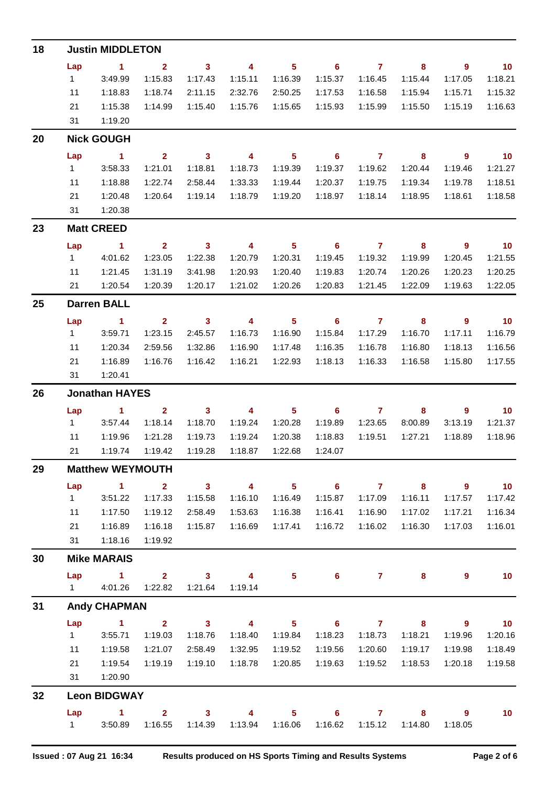| 18 | <b>Justin MIDDLETON</b> |                       |                         |                         |                         |                            |                            |                |                         |                            |                             |  |  |
|----|-------------------------|-----------------------|-------------------------|-------------------------|-------------------------|----------------------------|----------------------------|----------------|-------------------------|----------------------------|-----------------------------|--|--|
|    | Lap                     | $\sim$ 1              | $\overline{2}$          | $\overline{\mathbf{3}}$ | $\overline{\mathbf{4}}$ | $5^{\circ}$                | $\overline{\phantom{0}}$ 6 | $\overline{7}$ | $\overline{\mathbf{8}}$ | $\overline{\phantom{a}}$   | $\overline{10}$             |  |  |
|    | $1 -$                   | 3:49.99               | 1:15.83                 | 1:17.43                 | 1:15.11                 | 1:16.39                    | 1:15.37                    | 1:16.45        | 1:15.44                 | 1:17.05                    | 1:18.21                     |  |  |
|    | 11                      | 1:18.83               | 1:18.74                 | 2:11.15                 | 2:32.76                 | 2:50.25                    | 1:17.53                    | 1:16.58        | 1:15.94                 | 1:15.71                    | 1:15.32                     |  |  |
|    | 21                      | 1:15.38               | 1:14.99                 | 1:15.40                 | 1:15.76                 | 1:15.65                    | 1:15.93                    | 1:15.99        | 1:15.50                 | 1:15.19                    | 1:16.63                     |  |  |
|    | 31                      | 1:19.20               |                         |                         |                         |                            |                            |                |                         |                            |                             |  |  |
| 20 |                         | <b>Nick GOUGH</b>     |                         |                         |                         |                            |                            |                |                         |                            |                             |  |  |
|    | Lap                     | $\sim$ 1              | $\overline{2}$          | $\overline{\mathbf{3}}$ | $\overline{4}$          | $\overline{\phantom{0}}$ 5 | $\overline{\phantom{a}}$ 6 | $\overline{7}$ | $\overline{\mathbf{8}}$ | $\overline{\phantom{a}}$ 9 | $\overline{\phantom{0}}$ 10 |  |  |
|    | 1                       | 3:58.33               | 1:21.01                 | 1:18.81                 | 1:18.73                 | 1:19.39                    | 1:19.37                    | 1:19.62        | 1:20.44                 | 1:19.46                    | 1:21.27                     |  |  |
|    | 11                      | 1:18.88               | 1:22.74                 | 2:58.44                 | 1:33.33                 | 1:19.44                    | 1:20.37                    | 1:19.75        | 1:19.34                 | 1:19.78                    | 1:18.51                     |  |  |
|    | 21                      | 1:20.48               | 1:20.64                 | 1:19.14                 | 1:18.79                 | 1:19.20                    | 1:18.97                    | 1:18.14        | 1:18.95                 | 1:18.61                    | 1:18.58                     |  |  |
|    | 31                      | 1:20.38               |                         |                         |                         |                            |                            |                |                         |                            |                             |  |  |
| 23 |                         | <b>Matt CREED</b>     |                         |                         |                         |                            |                            |                |                         |                            |                             |  |  |
|    | Lap                     | $\sim$ 1              | $\overline{2}$          | $\overline{\mathbf{3}}$ | $\overline{\mathbf{4}}$ | $\overline{\phantom{0}}$ 5 | $\overline{\phantom{0}}$ 6 | $\overline{7}$ | $\overline{\mathbf{8}}$ | - 9                        | $\overline{\phantom{0}}$ 10 |  |  |
|    | 1                       | 4:01.62               | 1:23.05                 | 1:22.38                 | 1:20.79                 | 1:20.31                    | 1:19.45                    | 1:19.32        | 1:19.99                 | 1:20.45                    | 1:21.55                     |  |  |
|    | 11                      | 1:21.45               | 1:31.19                 | 3:41.98                 | 1:20.93                 | 1:20.40                    | 1:19.83                    | 1:20.74        | 1:20.26                 | 1:20.23                    | 1:20.25                     |  |  |
|    | 21                      | 1:20.54               | 1:20.39                 | 1:20.17                 | 1:21.02                 | 1:20.26                    | 1:20.83                    | 1:21.45        | 1:22.09                 | 1:19.63                    | 1:22.05                     |  |  |
| 25 |                         | <b>Darren BALL</b>    |                         |                         |                         |                            |                            |                |                         |                            |                             |  |  |
|    | Lap                     | $\sim$ $-1$           | $\overline{\mathbf{2}}$ | $\sim$ 3                | $\overline{\mathbf{4}}$ | $\overline{\phantom{0}}$ 5 | $\overline{\phantom{a}}$ 6 |                | $\overline{\mathbf{8}}$ | 9                          | $\overline{10}$             |  |  |
|    | $1 \quad \blacksquare$  | 3:59.71               | 1:23.15                 | 2:45.57                 | 1:16.73                 | 1:16.90                    | 1:15.84                    | 1:17.29        | 1:16.70                 | 1:17.11                    | 1:16.79                     |  |  |
|    | 11                      | 1:20.34               | 2:59.56                 | 1:32.86                 | 1:16.90                 | 1:17.48                    | 1:16.35                    | 1:16.78        | 1:16.80                 | 1:18.13                    | 1:16.56                     |  |  |
|    | 21                      | 1:16.89               | 1:16.76                 | 1:16.42                 | 1:16.21                 | 1:22.93                    | 1:18.13                    | 1:16.33        | 1:16.58                 | 1:15.80                    | 1:17.55                     |  |  |
|    | 31                      | 1:20.41               |                         |                         |                         |                            |                            |                |                         |                            |                             |  |  |
| 26 |                         | <b>Jonathan HAYES</b> |                         |                         |                         |                            |                            |                |                         |                            |                             |  |  |
|    | Lap                     | $\sim$ 1 2            |                         | $\overline{\mathbf{3}}$ | $\overline{\mathbf{4}}$ | $\overline{\phantom{0}}$ 5 | $\overline{\phantom{a}}$ 6 | $\overline{7}$ | $\overline{\mathbf{8}}$ | $9^{\circ}$                | $\overline{10}$             |  |  |
|    | $1 \quad \blacksquare$  | 3:57.44               | 1:18.14                 | 1:18.70                 | 1:19.24                 | 1:20.28                    | 1:19.89                    | 1:23.65        | 8:00.89                 | 3:13.19                    | 1:21.37                     |  |  |
|    | 11                      | 1:19.96               | 1:21.28                 | 1:19.73                 | 1:19.24                 | 1:20.38                    | 1:18.83                    | 1:19.51        | 1:27.21                 | 1:18.89                    | 1:18.96                     |  |  |
|    | 21                      | 1:19.74               | 1:19.42                 | 1:19.28                 | 1:18.87                 | 1:22.68                    | 1:24.07                    |                |                         |                            |                             |  |  |
| 29 | <b>Matthew WEYMOUTH</b> |                       |                         |                         |                         |                            |                            |                |                         |                            |                             |  |  |
|    | Lap                     | $\blacktriangleleft$  | $\mathbf{2}$            | $\mathbf{3}$            | $\overline{4}$          | 5 <sub>5</sub>             | $\overline{\phantom{0}}$ 6 | $\overline{7}$ | 8                       | $\overline{9}$             | 10                          |  |  |
|    | 1                       | 3:51.22               | 1:17.33                 | 1:15.58                 | 1:16.10                 | 1:16.49                    | 1:15.87                    | 1:17.09        | 1:16.11                 | 1:17.57                    | 1:17.42                     |  |  |
|    | 11                      | 1:17.50               | 1:19.12                 | 2:58.49                 | 1:53.63                 | 1:16.38                    | 1:16.41                    | 1:16.90        | 1:17.02                 | 1:17.21                    | 1:16.34                     |  |  |
|    | 21                      | 1:16.89               | 1:16.18                 | 1:15.87                 | 1:16.69                 | 1:17.41                    | 1:16.72                    | 1:16.02        | 1:16.30                 | 1:17.03                    | 1:16.01                     |  |  |
|    | 31                      | 1:18.16               | 1:19.92                 |                         |                         |                            |                            |                |                         |                            |                             |  |  |
| 30 |                         | <b>Mike MARAIS</b>    |                         |                         |                         |                            |                            |                |                         |                            |                             |  |  |
|    | Lap                     | $\blacktriangleleft$  | $\overline{2}$          | 3 <sup>1</sup>          | $\overline{4}$          | 5                          | 6 <sup>1</sup>             | $\mathbf{7}$   | 8                       | 9                          | 10                          |  |  |
|    | $1 \quad$               | 4:01.26               | 1:22.82                 | 1:21.64                 | 1:19.14                 |                            |                            |                |                         |                            |                             |  |  |
| 31 |                         | <b>Andy CHAPMAN</b>   |                         |                         |                         |                            |                            |                |                         |                            |                             |  |  |
|    | Lap                     | $\blacktriangleleft$  | $\overline{2}$          | 3 <sup>1</sup>          | $\overline{4}$          | 5 <sup>5</sup>             | $6\phantom{1}6$            | $\overline{7}$ | 8                       | $\overline{9}$             | 10                          |  |  |
|    | $\mathbf{1}$            | 3:55.71               | 1:19.03                 | 1:18.76                 | 1:18.40                 | 1:19.84                    | 1:18.23                    | 1:18.73        | 1:18.21                 | 1:19.96                    | 1:20.16                     |  |  |
|    | 11                      | 1:19.58               | 1:21.07                 | 2:58.49                 | 1:32.95                 | 1:19.52                    | 1:19.56                    | 1:20.60        | 1:19.17                 | 1:19.98                    | 1:18.49                     |  |  |
|    | 21<br>31                | 1:19.54<br>1:20.90    | 1:19.19                 | 1:19.10                 | 1:18.78                 | 1:20.85                    | 1:19.63                    | 1:19.52        | 1:18.53                 | 1:20.18                    | 1:19.58                     |  |  |
|    |                         |                       |                         |                         |                         |                            |                            |                |                         |                            |                             |  |  |
| 32 |                         | <b>Leon BIDGWAY</b>   |                         |                         |                         |                            |                            |                |                         |                            |                             |  |  |
|    | Lap                     | $\blacktriangleleft$  | $\overline{2}$          | 3 <sup>1</sup>          | $\overline{4}$          | 5 <sup>5</sup>             | $6^{\circ}$                | $\mathbf{7}$   | 8                       | 9                          | 10                          |  |  |
|    | $1 \quad \Box$          | 3:50.89               | 1:16.55                 | 1:14.39                 | 1:13.94                 | 1:16.06                    | 1:16.62                    | 1:15.12        | 1:14.80                 | 1:18.05                    |                             |  |  |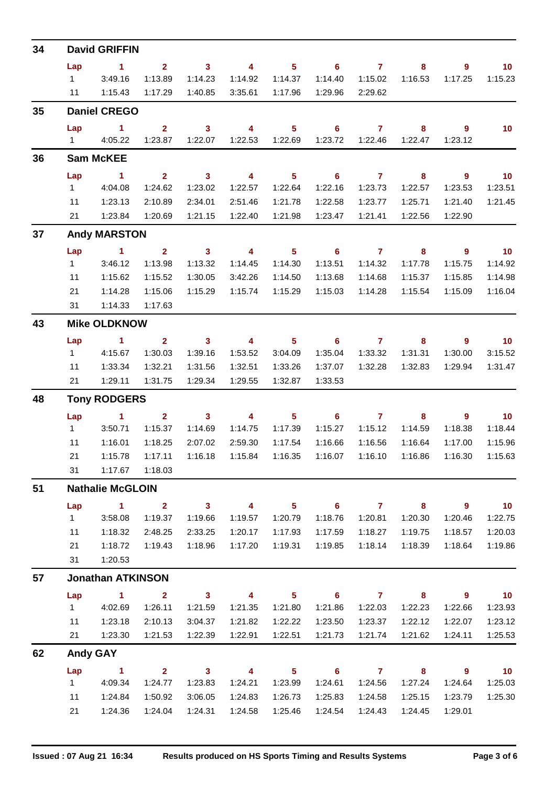| 34 | <b>David GRIFFIN</b>     |                                                 |                         |                                    |                         |                            |                            |                |           |                            |                                        |  |  |  |
|----|--------------------------|-------------------------------------------------|-------------------------|------------------------------------|-------------------------|----------------------------|----------------------------|----------------|-----------|----------------------------|----------------------------------------|--|--|--|
|    | Lap                      | $\blacktriangleleft$                            | 2 <sup>1</sup>          | 3                                  | $\overline{\mathbf{4}}$ | 5 <sup>1</sup>             | $6\phantom{1}$             | $\overline{7}$ | 8         | 9                          | 10 <sub>1</sub>                        |  |  |  |
|    | $1 \quad$                | 3:49.16                                         | 1:13.89                 | 1:14.23                            | 1:14.92                 | 1:14.37                    | 1:14.40                    | 1:15.02        | 1:16.53   | 1:17.25                    | 1:15.23                                |  |  |  |
|    | 11                       | 1:15.43                                         | 1:17.29                 | 1:40.85                            | 3:35.61                 | 1:17.96                    | 1:29.96                    | 2:29.62        |           |                            |                                        |  |  |  |
| 35 |                          | <b>Daniel CREGO</b>                             |                         |                                    |                         |                            |                            |                |           |                            |                                        |  |  |  |
|    | Lap                      | 1                                               | $\overline{2}$          | $\mathbf{3}$                       | $\overline{\mathbf{4}}$ | 5 <sup>5</sup>             | 6                          | $\overline{7}$ | 8         | $\overline{9}$             | 10 <sub>1</sub>                        |  |  |  |
|    |                          | 1 4:05.22                                       | 1:23.87                 | 1:22.07                            | 1:22.53                 | 1:22.69                    | 1:23.72                    | 1:22.46        | 1:22.47   | 1:23.12                    |                                        |  |  |  |
| 36 |                          | <b>Sam McKEE</b>                                |                         |                                    |                         |                            |                            |                |           |                            |                                        |  |  |  |
|    | Lap                      | $\sim$ 1                                        | $\overline{2}$          | $\overline{\mathbf{3}}$            | $\overline{\mathbf{4}}$ | 5 <sup>1</sup>             | $\overline{\phantom{0}}$ 6 | $\overline{7}$ | 8         | $9^{\circ}$                | $-10$                                  |  |  |  |
|    | $1 -$                    | 4:04.08                                         | 1:24.62                 | 1:23.02                            | 1:22.57                 | 1:22.64                    | 1:22.16                    | 1:23.73        | 1:22.57   | 1:23.53                    | 1:23.51                                |  |  |  |
|    | 11                       | 1:23.13                                         | 2:10.89                 | 2:34.01                            | 2:51.46                 | 1:21.78                    | 1:22.58                    | 1:23.77        | 1:25.71   | 1:21.40                    | 1:21.45                                |  |  |  |
|    | 21                       | 1:23.84                                         | 1:20.69                 | 1:21.15                            | 1:22.40                 | 1:21.98                    | 1:23.47                    | 1:21.41        | 1:22.56   | 1:22.90                    |                                        |  |  |  |
| 37 |                          | <b>Andy MARSTON</b>                             |                         |                                    |                         |                            |                            |                |           |                            |                                        |  |  |  |
|    | Lap                      | $\blacktriangleleft$                            | $\overline{2}$          | $\mathbf{3}$                       | $\overline{\mathbf{4}}$ | 5 <sup>5</sup>             | 6                          | $\overline{7}$ | 8         | $\overline{9}$             | 10                                     |  |  |  |
|    | 1                        | 3:46.12                                         | 1:13.98                 | 1:13.32                            | 1:14.45                 | 1:14.30                    | 1:13.51                    | 1:14.32        | 1:17.78   | 1:15.75                    | 1:14.92                                |  |  |  |
|    | 11                       | 1:15.62                                         | 1:15.52                 | 1:30.05                            | 3:42.26                 | 1:14.50                    | 1:13.68                    | 1:14.68        | 1:15.37   | 1:15.85                    | 1:14.98                                |  |  |  |
|    | 21                       | 1:14.28                                         | 1:15.06                 | 1:15.29                            | 1:15.74                 | 1:15.29                    | 1:15.03                    | 1:14.28        | 1:15.54   | 1:15.09                    | 1:16.04                                |  |  |  |
|    | 1:14.33<br>1:17.63<br>31 |                                                 |                         |                                    |                         |                            |                            |                |           |                            |                                        |  |  |  |
| 43 | <b>Mike OLDKNOW</b>      |                                                 |                         |                                    |                         |                            |                            |                |           |                            |                                        |  |  |  |
|    | Lap                      | $\blacktriangleleft$                            | $\overline{2}$          | $\mathbf{3}$                       | $\overline{4}$          | 5 <sup>1</sup>             | 6                          | $\mathbf{7}$   | 8         | 9                          | 10                                     |  |  |  |
|    | 1                        | 4:15.67                                         | 1:30.03                 | 1:39.16                            | 1:53.52                 | 3:04.09                    | 1:35.04                    | 1:33.32        | 1:31.31   | 1:30.00                    | 3:15.52                                |  |  |  |
|    | 11                       | 1:33.34                                         | 1:32.21                 | 1:31.56                            | 1:32.51                 | 1:33.26                    | 1:37.07                    | 1:32.28        | 1:32.83   | 1:29.94                    | 1:31.47                                |  |  |  |
|    | 21                       | 1:29.11                                         | 1:31.75                 | 1:29.34                            | 1:29.55                 | 1:32.87                    | 1:33.53                    |                |           |                            |                                        |  |  |  |
| 48 |                          | <b>Tony RODGERS</b>                             |                         |                                    |                         |                            |                            |                |           |                            |                                        |  |  |  |
|    | Lap                      | $\blacktriangleleft$                            | $\overline{2}$          | $\mathbf{3}$                       | $\overline{4}$          | 5 <sup>5</sup>             | 6                          | $\overline{7}$ | 8         | 9                          | 10                                     |  |  |  |
|    | 1                        | 3:50.71                                         | 1:15.37                 | 1:14.69                            | 1:14.75                 | 1:17.39                    | 1:15.27                    | 1:15.12        | 1:14.59   | 1:18.38                    | 1:18.44                                |  |  |  |
|    | 11                       | 1:16.01                                         | 1:18.25                 | 2:07.02                            | 2:59.30                 | 1:17.54                    | 1:16.66                    | 1:16.56        | 1:16.64   | 1:17.00                    | 1:15.96                                |  |  |  |
|    | 21                       | 1:15.78                                         | 1:17.11                 | 1:16.18                            | 1:15.84                 | 1:16.35                    | 1:16.07                    | 1:16.10        | 1:16.86   | 1:16.30                    | 1:15.63                                |  |  |  |
|    |                          | 31  1:17.67  1:18.03                            |                         |                                    |                         |                            |                            |                |           |                            |                                        |  |  |  |
| 51 | <b>Nathalie McGLOIN</b>  |                                                 |                         |                                    |                         |                            |                            |                |           |                            |                                        |  |  |  |
|    | Lap                      | $\overline{1}$ $\overline{2}$                   |                         |                                    | $3 \t 4$                | $\overline{\phantom{a}}$ 5 |                            | $6$ $7$ $8$    |           | $\overline{\phantom{a}}$ 9 | $\overline{\mathbf{10}}$               |  |  |  |
|    | $1 -$                    | 3:58.08                                         | 1:19.37                 | 1:19.66                            | 1:19.57                 | 1:20.79                    | 1:18.76                    | 1:20.81        | 1:20.30   | 1:20.46                    | 1:22.75                                |  |  |  |
|    | 11                       | 1:18.32                                         | 2:48.25                 | 2:33.25                            | 1:20.17                 | 1:17.93                    | 1:17.59                    | 1:18.27        | 1:19.75   | 1:18.57                    | 1:20.03                                |  |  |  |
|    | 21                       | 1:18.72                                         | 1:19.43                 | 1:18.96                            | 1:17.20                 | 1:19.31                    | 1:19.85                    | 1:18.14        | 1:18.39   | 1:18.64                    | 1:19.86                                |  |  |  |
|    |                          | 31  1:20.53                                     |                         |                                    |                         |                            |                            |                |           |                            |                                        |  |  |  |
| 57 |                          | <b>Jonathan ATKINSON</b>                        |                         |                                    |                         |                            |                            |                |           |                            |                                        |  |  |  |
|    | Lap                      | $\overline{\mathbf{1}}$ $\overline{\mathbf{2}}$ |                         |                                    | $3 \t 4$                | $\overline{\phantom{0}}$ 5 |                            | $6$ $7$ $8$    |           | $\overline{\phantom{a}}$   | $\overline{10}$                        |  |  |  |
|    | $1 \quad$                | 4:02.69                                         | 1:26.11                 | 1:21.59                            | 1:21.35                 | 1:21.80                    | 1:21.86                    | 1:22.03        | 1:22.23   | 1:22.66                    | 1:23.93                                |  |  |  |
|    | 11                       | 1:23.18                                         | 2:10.13                 | 3:04.37                            | 1:21.82                 | 1:22.22                    | 1:23.50                    | 1:23.37        | 1:22.12   | 1:22.07                    | 1:23.12                                |  |  |  |
|    | 21                       | 1:23.30                                         | 1:21.53                 | 1:22.39                            | 1:22.91                 | 1:22.51                    | 1:21.73                    | 1:21.74        | 1:21.62   | 1:24.11                    | 1:25.53                                |  |  |  |
| 62 |                          | <b>Andy GAY</b>                                 |                         |                                    |                         |                            |                            |                |           |                            |                                        |  |  |  |
|    | Lap                      | $\sim$ $-1$<br>1 4:09.34                        | $\overline{\mathbf{2}}$ | $\overline{\mathbf{3}}$<br>1:23.83 |                         |                            |                            | 1:24.56        | 4 5 6 7 8 | $\overline{\phantom{a}}$   | $\overline{\phantom{0}}$ 10<br>1:25.03 |  |  |  |
|    |                          |                                                 | 1:24.77                 |                                    |                         | 1:24.21  1:23.99           | 1:24.61                    |                | 1:27.24   | 1:24.64                    |                                        |  |  |  |
|    | 11                       | 1:24.84                                         | 1:50.92                 | 3:06.05                            | 1:24.83                 | 1:26.73                    | 1:25.83                    | 1:24.58        | 1:25.15   | 1:23.79                    | 1:25.30                                |  |  |  |
|    | 21                       | 1:24.36                                         | 1:24.04                 | 1:24.31                            | 1:24.58                 | 1:25.46                    | 1:24.54                    | 1:24.43        | 1:24.45   | 1:29.01                    |                                        |  |  |  |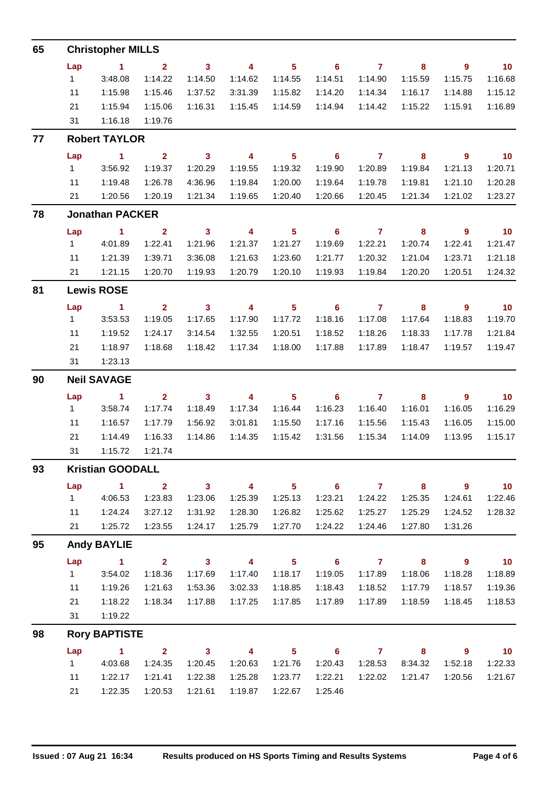| 65 | <b>Christopher MILLS</b> |                         |                         |                            |                          |                            |                            |                |                          |                            |                          |  |  |  |  |
|----|--------------------------|-------------------------|-------------------------|----------------------------|--------------------------|----------------------------|----------------------------|----------------|--------------------------|----------------------------|--------------------------|--|--|--|--|
|    | Lap                      | $\sim$ 1                | $\overline{\mathbf{2}}$ | $\overline{\phantom{a}}$ 3 | $\overline{\mathbf{4}}$  | $\overline{\phantom{0}}$ 5 | $\overline{\phantom{0}}$ 6 | $\overline{7}$ | 8                        | $\overline{\phantom{a}}$ 9 | $\overline{\mathbf{10}}$ |  |  |  |  |
|    | $1 \quad$                | 3:48.08                 | 1:14.22                 | 1:14.50                    | 1:14.62                  | 1:14.55                    | 1:14.51                    | 1:14.90        | 1:15.59                  | 1:15.75                    | 1:16.68                  |  |  |  |  |
|    | 11                       | 1:15.98                 | 1:15.46                 | 1:37.52                    | 3:31.39                  | 1:15.82                    | 1:14.20                    | 1:14.34        | 1:16.17                  | 1:14.88                    | 1:15.12                  |  |  |  |  |
|    | 21                       | 1:15.94                 | 1:15.06                 | 1:16.31                    | 1:15.45                  | 1:14.59                    | 1:14.94                    | 1:14.42        | 1:15.22                  | 1:15.91                    | 1:16.89                  |  |  |  |  |
|    | 31                       | 1:16.18                 | 1:19.76                 |                            |                          |                            |                            |                |                          |                            |                          |  |  |  |  |
| 77 |                          | <b>Robert TAYLOR</b>    |                         |                            |                          |                            |                            |                |                          |                            |                          |  |  |  |  |
|    | Lap                      | $\sim$ 1                | $\overline{2}$          | $\overline{\mathbf{3}}$    | $\overline{\mathbf{4}}$  | $\overline{\phantom{0}}$ 5 | $\overline{\phantom{a}}$ 6 | $\overline{7}$ | $\overline{\mathbf{8}}$  | $\overline{\phantom{a}}$ 9 | $\overline{10}$          |  |  |  |  |
|    | $1 \quad$                | 3:56.92                 | 1:19.37                 | 1:20.29                    | 1:19.55                  | 1:19.32                    | 1:19.90                    | 1:20.89        | 1:19.84                  | 1:21.13                    | 1:20.71                  |  |  |  |  |
|    | 11                       | 1:19.48                 | 1:26.78                 | 4:36.96                    | 1:19.84                  | 1:20.00                    | 1:19.64                    | 1:19.78        | 1:19.81                  | 1:21.10                    | 1:20.28                  |  |  |  |  |
|    | 21                       | 1:20.56                 | 1:20.19                 | 1:21.34                    | 1:19.65                  | 1:20.40                    | 1:20.66                    | 1:20.45        | 1:21.34                  | 1:21.02                    | 1:23.27                  |  |  |  |  |
| 78 |                          | <b>Jonathan PACKER</b>  |                         |                            |                          |                            |                            |                |                          |                            |                          |  |  |  |  |
|    | Lap                      | $\sim$ 1                | $\overline{\mathbf{2}}$ | $\overline{\mathbf{3}}$    | $\overline{4}$           | $\overline{\phantom{0}}$ 5 | $\overline{\phantom{0}}$ 6 | $\overline{7}$ | $\overline{\mathbf{8}}$  | $\overline{\phantom{a}}$   | $\overline{10}$          |  |  |  |  |
|    | $1 \quad$                | 4:01.89                 | 1:22.41                 | 1:21.96                    | 1:21.37                  | 1:21.27                    | 1:19.69                    | 1:22.21        | 1:20.74                  | 1:22.41                    | 1:21.47                  |  |  |  |  |
|    | 11                       | 1:21.39                 | 1:39.71                 | 3:36.08                    | 1:21.63                  | 1:23.60                    | 1:21.77                    | 1:20.32        | 1:21.04                  | 1:23.71                    | 1:21.18                  |  |  |  |  |
|    | 21                       | 1:21.15                 | 1:20.70                 | 1:19.93                    | 1:20.79                  | 1:20.10                    | 1:19.93                    | 1:19.84        | 1:20.20                  | 1:20.51                    | 1:24.32                  |  |  |  |  |
| 81 |                          | <b>Lewis ROSE</b>       |                         |                            |                          |                            |                            |                |                          |                            |                          |  |  |  |  |
|    | Lap                      | $\sim$ 1                | $\overline{2}$          | $\overline{\phantom{a}}$ 3 | $\overline{\phantom{a}}$ | $\overline{\mathbf{5}}$    | $\overline{\phantom{0}}$ 6 | $\overline{7}$ | 8                        | 9                          | $\overline{10}$          |  |  |  |  |
|    | 1                        | 3:53.53                 | 1:19.05                 | 1:17.65                    | 1:17.90                  | 1:17.72                    | 1:18.16                    | 1:17.08        | 1:17.64                  | 1:18.83                    | 1:19.70                  |  |  |  |  |
|    | 11                       | 1:19.52                 | 1:24.17                 | 3:14.54                    | 1:32.55                  | 1:20.51                    | 1:18.52                    | 1:18.26        | 1:18.33                  | 1:17.78                    | 1:21.84                  |  |  |  |  |
|    | 21                       | 1:18.97                 | 1:18.68                 | 1:18.42                    | 1:17.34                  | 1:18.00                    | 1:17.88                    | 1:17.89        | 1:18.47                  | 1:19.57                    | 1:19.47                  |  |  |  |  |
|    | 31                       | 1:23.13                 |                         |                            |                          |                            |                            |                |                          |                            |                          |  |  |  |  |
| 90 |                          | <b>Neil SAVAGE</b>      |                         |                            |                          |                            |                            |                |                          |                            |                          |  |  |  |  |
|    | Lap                      | $\sim$ 1                | $\overline{2}$          | $\mathbf{3}$               | $\overline{\mathbf{4}}$  | 5 <sub>5</sub>             | $6\phantom{1}6$            | $\overline{7}$ | 8                        | 9                          | $\overline{\mathbf{10}}$ |  |  |  |  |
|    | 1                        | 3:58.74                 | 1:17.74                 | 1:18.49                    | 1:17.34                  | 1:16.44                    | 1:16.23                    | 1:16.40        | 1:16.01                  | 1:16.05                    | 1:16.29                  |  |  |  |  |
|    | 11                       | 1:16.57                 | 1:17.79                 | 1:56.92                    | 3:01.81                  | 1:15.50                    | 1:17.16                    | 1:15.56        | 1:15.43                  | 1:16.05                    | 1:15.00                  |  |  |  |  |
|    | 21                       | 1:14.49                 | 1:16.33                 | 1:14.86                    | 1:14.35                  | 1:15.42                    | 1:31.56                    | 1:15.34        | 1:14.09                  | 1:13.95                    | 1:15.17                  |  |  |  |  |
|    | 31                       | 1:15.72                 | 1:21.74                 |                            |                          |                            |                            |                |                          |                            |                          |  |  |  |  |
| 93 |                          | <b>Kristian GOODALL</b> |                         |                            |                          |                            |                            |                |                          |                            |                          |  |  |  |  |
|    | Lap                      | $\sim$ 1                | $\overline{\mathbf{2}}$ |                            | $3 \t 4$                 |                            |                            |                | $5 \t\t 6 \t\t 7 \t\t 8$ | $\overline{\mathbf{9}}$    | 10                       |  |  |  |  |
|    | $1 \quad$                | 4:06.53                 | 1:23.83                 | 1:23.06                    | 1:25.39                  | 1:25.13                    | 1:23.21                    | 1:24.22        | 1:25.35                  | 1:24.61                    | 1:22.46                  |  |  |  |  |
|    | 11                       | 1:24.24                 | 3:27.12                 | 1:31.92                    | 1:28.30                  | 1:26.82                    | 1:25.62                    | 1:25.27        | 1:25.29                  | 1:24.52                    | 1:28.32                  |  |  |  |  |
|    | 21                       | 1:25.72                 | 1:23.55                 | 1:24.17                    | 1:25.79                  | 1:27.70                    | 1:24.22                    | 1:24.46        | 1:27.80                  | 1:31.26                    |                          |  |  |  |  |
| 95 |                          | <b>Andy BAYLIE</b>      |                         |                            |                          |                            |                            |                |                          |                            |                          |  |  |  |  |
|    | Lap                      | $\sim$ 1                | $\overline{\mathbf{2}}$ | $\overline{\mathbf{3}}$    | $\overline{4}$           | $\overline{\phantom{0}}$ 5 | $\overline{\phantom{0}}$ 6 | $\overline{7}$ | $\overline{\mathbf{8}}$  | $\overline{\phantom{a}}$   | $\overline{10}$          |  |  |  |  |
|    | $1 \quad$                | 3:54.02                 | 1:18.36                 | 1:17.69                    | 1:17.40                  | 1:18.17                    | 1:19.05                    | 1:17.89        | 1:18.06                  | 1:18.28                    | 1:18.89                  |  |  |  |  |
|    | 11                       | 1:19.26                 | 1:21.63                 | 1:53.36                    | 3:02.33                  | 1:18.85                    | 1:18.43                    | 1:18.52        | 1:17.79                  | 1:18.57                    | 1:19.36                  |  |  |  |  |
|    | 21                       | 1:18.22                 | 1:18.34                 | 1:17.88                    | 1:17.25                  | 1:17.85                    | 1:17.89                    | 1:17.89        | 1:18.59                  | 1:18.45                    | 1:18.53                  |  |  |  |  |
|    | 31                       | 1:19.22                 |                         |                            |                          |                            |                            |                |                          |                            |                          |  |  |  |  |
| 98 |                          | <b>Rory BAPTISTE</b>    |                         |                            |                          |                            |                            |                |                          |                            |                          |  |  |  |  |
|    | Lap                      | $\sim$ $\sim$ 1.        | $2^{\circ}$             | $\sim$ 3                   | $\overline{4}$           | 5 <sub>1</sub>             | $\overline{\phantom{0}}$ 6 | $\overline{7}$ | 8 <sup>1</sup>           | $\overline{\phantom{a}}$   | $\overline{10}$          |  |  |  |  |
|    | $1 \quad$                | 4:03.68                 | 1:24.35                 | 1:20.45                    | 1:20.63                  | 1:21.76                    | 1:20.43                    | 1:28.53        | 8:34.32                  | 1:52.18                    | 1:22.33                  |  |  |  |  |
|    | 11                       | 1:22.17                 | 1:21.41                 | 1:22.38                    | 1:25.28                  | 1:23.77                    | 1:22.21                    | 1:22.02        | 1:21.47                  | 1:20.56                    | 1:21.67                  |  |  |  |  |
|    | 21                       | 1:22.35                 | 1:20.53                 | 1:21.61                    | 1:19.87                  | 1:22.67                    | 1:25.46                    |                |                          |                            |                          |  |  |  |  |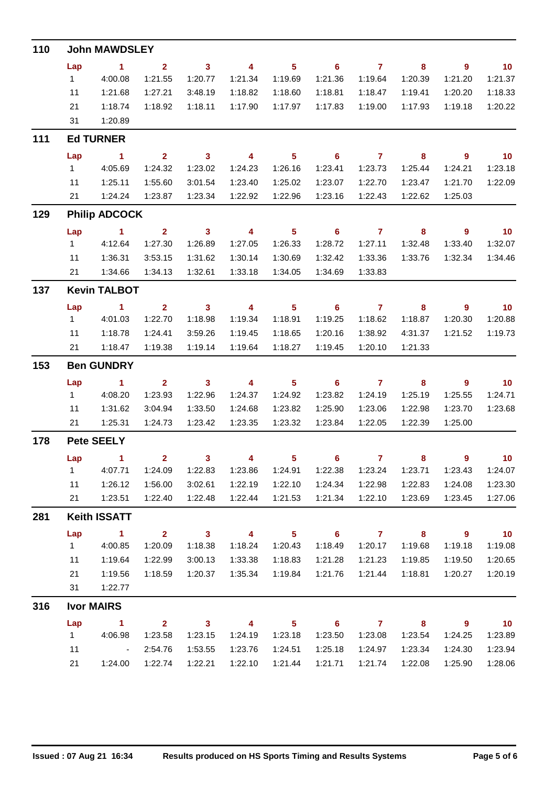| 110 | <b>John MAWDSLEY</b>   |                                   |                         |                         |                         |                                       |                            |                |                         |                                     |                             |  |  |  |  |
|-----|------------------------|-----------------------------------|-------------------------|-------------------------|-------------------------|---------------------------------------|----------------------------|----------------|-------------------------|-------------------------------------|-----------------------------|--|--|--|--|
|     | Lap                    | $\sim$ 1                          | $\overline{\mathbf{2}}$ | $\overline{\mathbf{3}}$ | $\overline{\mathbf{4}}$ | $\overline{\phantom{0}}$ 5            | $\overline{\phantom{0}}$ 6 | $7 \t 8$       |                         | $\overline{\phantom{a}}$ 9          | $\overline{\phantom{0}}$ 10 |  |  |  |  |
|     | $1 -$                  | 4:00.08                           | 1:21.55                 | 1:20.77                 | 1:21.34                 | 1:19.69                               | 1:21.36                    | 1:19.64        | 1:20.39                 | 1:21.20                             | 1:21.37                     |  |  |  |  |
|     | 11                     | 1:21.68                           | 1:27.21                 | 3:48.19                 | 1:18.82                 | 1:18.60                               | 1:18.81                    | 1:18.47        | 1:19.41                 | 1:20.20                             | 1:18.33                     |  |  |  |  |
|     | 21                     | 1:18.74                           | 1:18.92                 | 1:18.11                 | 1:17.90                 | 1:17.97                               | 1:17.83                    | 1:19.00        | 1:17.93                 | 1:19.18                             | 1:20.22                     |  |  |  |  |
|     | 31                     | 1:20.89                           |                         |                         |                         |                                       |                            |                |                         |                                     |                             |  |  |  |  |
| 111 |                        | <b>Ed TURNER</b>                  |                         |                         |                         |                                       |                            |                |                         |                                     |                             |  |  |  |  |
|     | Lap                    | $\sim$ 1                          | $\overline{\mathbf{2}}$ | $\overline{\mathbf{3}}$ | $\overline{4}$          | $\overline{\phantom{0}}$ 5            | $\overline{\phantom{a}}$ 6 | $7$ 8          |                         | $\overline{\phantom{a}}$ 9          | $\overline{10}$             |  |  |  |  |
|     | $1 \quad$              | 4:05.69                           | 1:24.32                 | 1:23.02                 | 1:24.23                 | 1:26.16                               | 1:23.41                    | 1:23.73        | 1:25.44                 | 1:24.21                             | 1:23.18                     |  |  |  |  |
|     | 11                     | 1:25.11                           | 1:55.60                 | 3:01.54                 | 1:23.40                 | 1:25.02                               | 1:23.07                    | 1:22.70        | 1:23.47                 | 1:21.70                             | 1:22.09                     |  |  |  |  |
|     | 21                     | 1:24.24                           | 1:23.87                 | 1:23.34                 | 1:22.92                 | 1:22.96                               | 1:23.16                    | 1:22.43        | 1:22.62                 | 1:25.03                             |                             |  |  |  |  |
| 129 | <b>Philip ADCOCK</b>   |                                   |                         |                         |                         |                                       |                            |                |                         |                                     |                             |  |  |  |  |
|     | Lap                    | $\sim$ $-1$                       | $\overline{\mathbf{2}}$ | $\overline{\mathbf{3}}$ | $\overline{4}$          | $\overline{\phantom{0}}$ 5            | $\overline{\phantom{0}}$ 6 | $\overline{7}$ | $\overline{\mathbf{8}}$ | $\overline{\phantom{a}}$            | $\overline{10}$             |  |  |  |  |
|     | $1 \quad \blacksquare$ | 4:12.64                           | 1:27.30                 | 1:26.89                 | 1:27.05                 | 1:26.33                               | 1:28.72                    | 1:27.11        | 1:32.48                 | 1:33.40                             | 1:32.07                     |  |  |  |  |
|     | 11                     | 1:36.31                           | 3:53.15                 | 1:31.62                 | 1:30.14                 | 1:30.69                               | 1:32.42                    | 1:33.36        | 1:33.76                 | 1:32.34                             | 1:34.46                     |  |  |  |  |
|     | 21                     | 1:34.66                           | 1:34.13                 | 1:32.61                 | 1:33.18                 | 1:34.05                               | 1:34.69                    | 1:33.83        |                         |                                     |                             |  |  |  |  |
| 137 |                        | <b>Kevin TALBOT</b>               |                         |                         |                         |                                       |                            |                |                         |                                     |                             |  |  |  |  |
|     | Lap                    | $\blacktriangleleft$              | $\overline{2}$          | $\overline{\mathbf{3}}$ | $\overline{4}$          | $\overline{\phantom{0}}$ 5            | $\overline{\phantom{0}}$ 6 | $\overline{7}$ | 8                       | 9                                   | $\overline{10}$             |  |  |  |  |
|     | $1 \quad$              | 4:01.03                           | 1:22.70                 | 1:18.98                 | 1:19.34                 | 1:18.91                               | 1:19.25                    | 1:18.62        | 1:18.87                 | 1:20.30                             | 1:20.88                     |  |  |  |  |
|     | 11                     | 1:18.78                           | 1:24.41                 | 3:59.26                 | 1:19.45                 | 1:18.65                               | 1:20.16                    | 1:38.92        | 4:31.37                 | 1:21.52                             | 1:19.73                     |  |  |  |  |
|     | 21                     | 1:18.47                           | 1:19.38                 | 1:19.14                 | 1:19.64                 | 1:18.27                               | 1:19.45                    | 1:20.10        | 1:21.33                 |                                     |                             |  |  |  |  |
| 153 |                        | <b>Ben GUNDRY</b>                 |                         |                         |                         |                                       |                            |                |                         |                                     |                             |  |  |  |  |
|     | Lap                    | $\sim$ 1                          | $\overline{2}$          | $\overline{\mathbf{3}}$ | $\overline{4}$          | $\overline{\phantom{0}}$ 5            | $\overline{\phantom{0}}$ 6 | $\overline{7}$ | $\overline{\mathbf{8}}$ | $\overline{\phantom{a}}$ 9          | $\overline{\phantom{0}}$ 10 |  |  |  |  |
|     | $1 \quad$              | 4:08.20                           | 1:23.93                 | 1:22.96                 | 1:24.37                 | 1:24.92                               | 1:23.82                    | 1:24.19        | 1:25.19                 | 1:25.55                             | 1:24.71                     |  |  |  |  |
|     | 11                     | 1:31.62                           | 3:04.94                 | 1:33.50                 | 1:24.68                 | 1:23.82                               | 1:25.90                    | 1:23.06        | 1:22.98                 | 1:23.70                             | 1:23.68                     |  |  |  |  |
|     | 21                     | 1:25.31                           | 1:24.73                 | 1:23.42                 | 1:23.35                 | 1:23.32                               | 1:23.84                    | 1:22.05        | 1:22.39                 | 1:25.00                             |                             |  |  |  |  |
| 178 |                        | <b>Pete SEELY</b>                 |                         |                         |                         |                                       |                            |                |                         |                                     |                             |  |  |  |  |
|     |                        | Lap 1                             | $\sim$ 2                | 3                       |                         |                                       | 4 5 6 7 8                  |                |                         | $9^{\circ}$                         | 10                          |  |  |  |  |
|     | 1                      | 4:07.71                           | 1:24.09                 | 1:22.83                 | 1:23.86                 | 1:24.91                               | 1:22.38                    | 1:23.24        | 1:23.71                 | 1:23.43                             | 1:24.07                     |  |  |  |  |
|     | 11                     | 1:26.12                           | 1:56.00                 | 3:02.61                 | 1:22.19                 | 1:22.10                               | 1:24.34                    | 1:22.98        | 1:22.83                 | 1:24.08                             | 1:23.30                     |  |  |  |  |
|     | 21                     | 1:23.51                           | 1:22.40                 | 1:22.48                 | 1:22.44                 | 1:21.53                               | 1:21.34                    | 1:22.10        | 1:23.69                 | 1:23.45                             | 1:27.06                     |  |  |  |  |
| 281 |                        | <b>Keith ISSATT</b>               |                         |                         |                         |                                       |                            |                |                         |                                     |                             |  |  |  |  |
|     | Lap<br>1               | $\sim$ 1                          | $\overline{\mathbf{2}}$ | $\overline{\mathbf{3}}$ | $\overline{\mathbf{4}}$ | $\overline{\phantom{0}}$ 5<br>1:20.43 | $\overline{\phantom{0}}$ 6 | $\overline{7}$ | $\overline{\mathbf{8}}$ | $\overline{\phantom{a}}$<br>1:19.18 | $\blacksquare$ 10           |  |  |  |  |
|     |                        | 4:00.85                           | 1:20.09                 | 1:18.38                 | 1:18.24                 |                                       | 1:18.49                    | 1:20.17        | 1:19.68                 |                                     | 1:19.08                     |  |  |  |  |
|     | 11                     | 1:19.64                           | 1:22.99                 | 3:00.13                 | 1:33.38                 | 1:18.83                               | 1:21.28                    | 1:21.23        | 1:19.85                 | 1:19.50                             | 1:20.65                     |  |  |  |  |
|     | 21                     | 1:19.56                           | 1:18.59                 | 1:20.37                 | 1:35.34                 | 1:19.84                               | 1:21.76                    | 1:21.44        | 1:18.81                 | 1:20.27                             | 1:20.19                     |  |  |  |  |
|     | 31                     | 1:22.77                           |                         |                         |                         |                                       |                            |                |                         |                                     |                             |  |  |  |  |
| 316 |                        | <b>Ivor MAIRS</b>                 |                         |                         |                         |                                       |                            |                |                         |                                     |                             |  |  |  |  |
|     | Lap                    | $\sim$ 1                          | $\overline{\mathbf{2}}$ | $\overline{\mathbf{3}}$ | $\overline{4}$          | $\overline{\phantom{0}}$ 5            | $\overline{\phantom{a}}$ 6 | $\overline{7}$ | $\overline{\mathbf{8}}$ | $\overline{\phantom{a}}$ 9          | 10                          |  |  |  |  |
|     | 1                      | 4:06.98                           | 1:23.58                 | 1:23.15                 | 1:24.19                 | 1:23.18                               | 1:23.50                    | 1:23.08        | 1:23.54                 | 1:24.25                             | 1:23.89                     |  |  |  |  |
|     | 11                     | $\sim 10^{11}$ and $\sim 10^{11}$ | 2:54.76                 | 1:53.55                 | 1:23.76                 | 1:24.51                               | 1:25.18                    | 1:24.97        | 1:23.34                 | 1:24.30                             | 1:23.94                     |  |  |  |  |
|     | 21                     | 1:24.00                           | 1:22.74                 | 1:22.21                 | 1:22.10                 | 1:21.44                               | 1:21.71                    | 1:21.74        | 1:22.08                 | 1:25.90                             | 1:28.06                     |  |  |  |  |